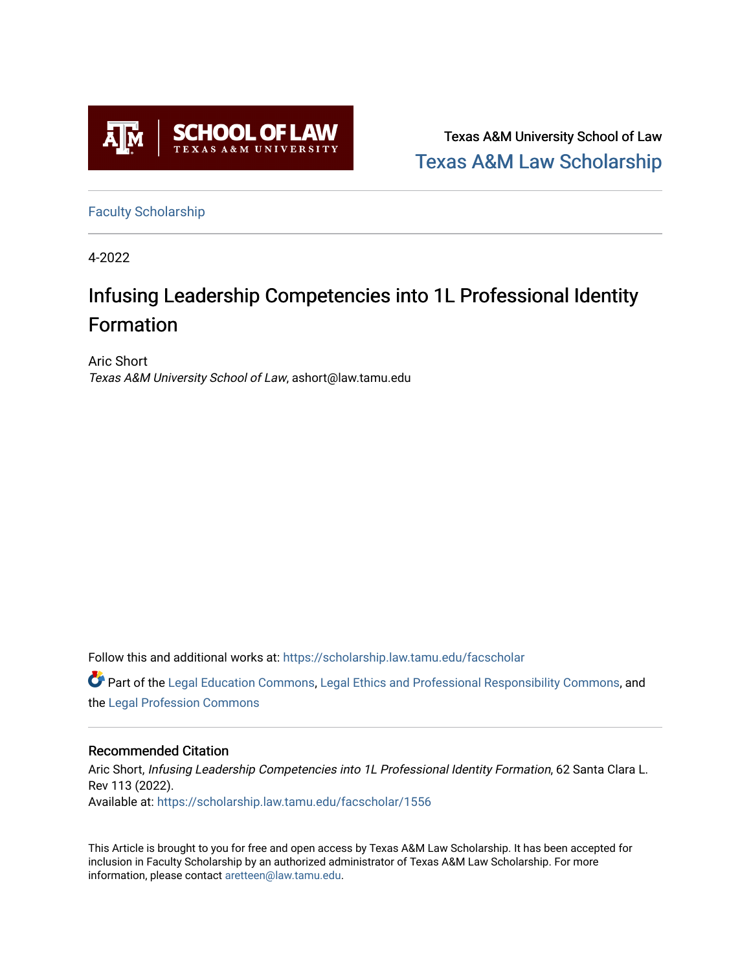

Texas A&M University School of Law [Texas A&M Law Scholarship](https://scholarship.law.tamu.edu/) 

[Faculty Scholarship](https://scholarship.law.tamu.edu/facscholar)

4-2022

# Infusing Leadership Competencies into 1L Professional Identity Formation

Aric Short Texas A&M University School of Law, ashort@law.tamu.edu

Follow this and additional works at: [https://scholarship.law.tamu.edu/facscholar](https://scholarship.law.tamu.edu/facscholar?utm_source=scholarship.law.tamu.edu%2Ffacscholar%2F1556&utm_medium=PDF&utm_campaign=PDFCoverPages) 

Part of the [Legal Education Commons,](https://network.bepress.com/hgg/discipline/857?utm_source=scholarship.law.tamu.edu%2Ffacscholar%2F1556&utm_medium=PDF&utm_campaign=PDFCoverPages) [Legal Ethics and Professional Responsibility Commons](https://network.bepress.com/hgg/discipline/895?utm_source=scholarship.law.tamu.edu%2Ffacscholar%2F1556&utm_medium=PDF&utm_campaign=PDFCoverPages), and the [Legal Profession Commons](https://network.bepress.com/hgg/discipline/1075?utm_source=scholarship.law.tamu.edu%2Ffacscholar%2F1556&utm_medium=PDF&utm_campaign=PDFCoverPages) 

# Recommended Citation

Aric Short, Infusing Leadership Competencies into 1L Professional Identity Formation, 62 Santa Clara L. Rev 113 (2022). Available at: [https://scholarship.law.tamu.edu/facscholar/1556](https://scholarship.law.tamu.edu/facscholar/1556?utm_source=scholarship.law.tamu.edu%2Ffacscholar%2F1556&utm_medium=PDF&utm_campaign=PDFCoverPages) 

This Article is brought to you for free and open access by Texas A&M Law Scholarship. It has been accepted for inclusion in Faculty Scholarship by an authorized administrator of Texas A&M Law Scholarship. For more information, please contact [aretteen@law.tamu.edu](mailto:aretteen@law.tamu.edu).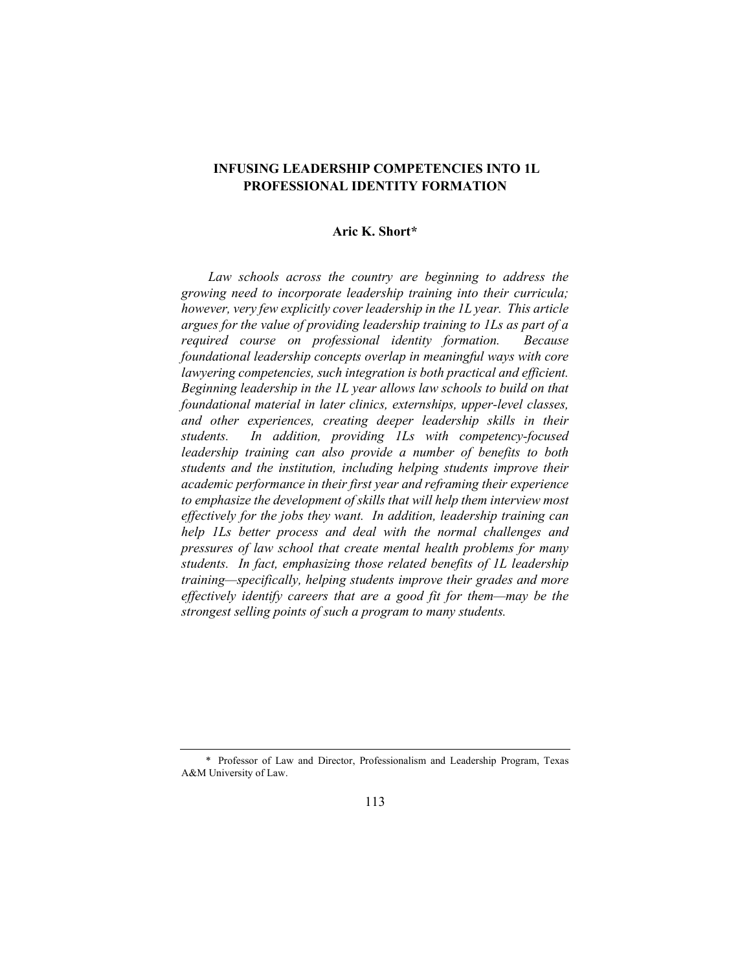# INFUSING LEADERSHIP COMPETENCIES INTO 1L PROFESSIONAL IDENTITY FORMATION

# Aric K. Short\*

Law schools across the country are beginning to address the growing need to incorporate leadership training into their curricula; however, very few explicitly cover leadership in the 1L year. This article argues for the value of providing leadership training to 1Ls as part of a required course on professional identity formation. Because foundational leadership concepts overlap in meaningful ways with core lawyering competencies, such integration is both practical and efficient. Beginning leadership in the 1L year allows law schools to build on that foundational material in later clinics, externships, upper-level classes, and other experiences, creating deeper leadership skills in their students. In addition, providing 1Ls with competency-focused leadership training can also provide a number of benefits to both students and the institution, including helping students improve their academic performance in their first year and reframing their experience to emphasize the development of skills that will help them interview most effectively for the jobs they want. In addition, leadership training can help 1Ls better process and deal with the normal challenges and pressures of law school that create mental health problems for many students. In fact, emphasizing those related benefits of 1L leadership training—specifically, helping students improve their grades and more effectively identify careers that are a good fit for them—may be the strongest selling points of such a program to many students.

 <sup>\*</sup> Professor of Law and Director, Professionalism and Leadership Program, Texas A&M University of Law.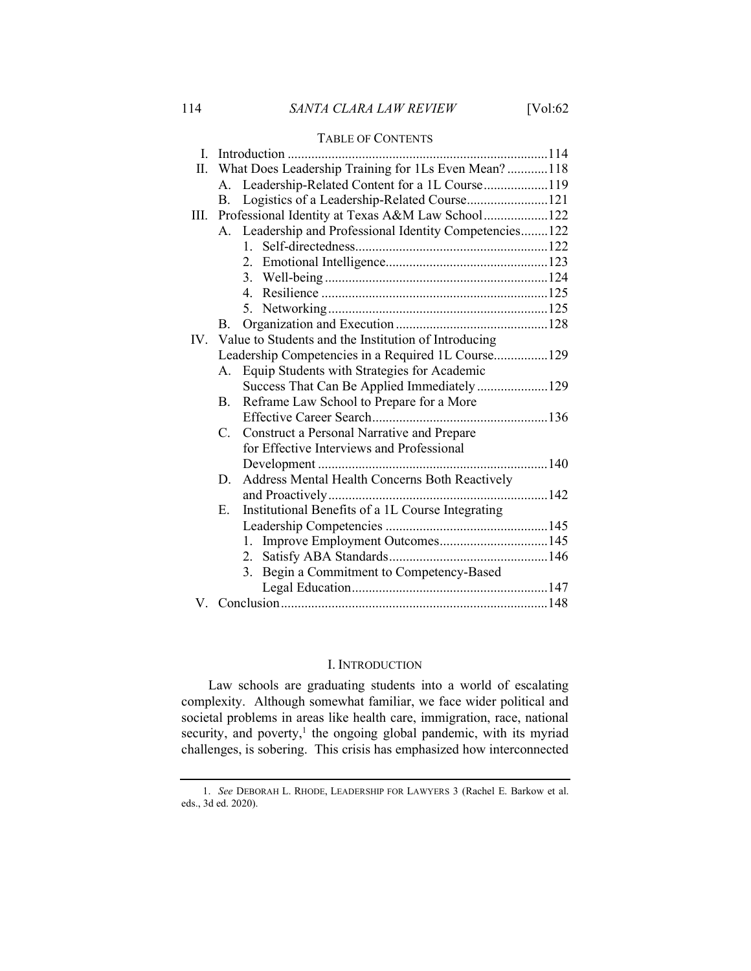# 114 SANTA CLARA LAW REVIEW [Vol:62

## TABLE OF CONTENTS

| L.   | Introduction                                             |  |
|------|----------------------------------------------------------|--|
| П.   | What Does Leadership Training for 1Ls Even Mean? 118     |  |
|      | A. Leadership-Related Content for a 1L Course119         |  |
|      | Logistics of a Leadership-Related Course121<br>В.        |  |
| III. | Professional Identity at Texas A&M Law School122         |  |
|      | A. Leadership and Professional Identity Competencies122  |  |
|      |                                                          |  |
|      |                                                          |  |
|      |                                                          |  |
|      |                                                          |  |
|      |                                                          |  |
|      | В.                                                       |  |
|      | IV. Value to Students and the Institution of Introducing |  |
|      | Leadership Competencies in a Required 1L Course129       |  |
|      | Equip Students with Strategies for Academic<br>А.        |  |
|      | Success That Can Be Applied Immediately129               |  |
|      | Reframe Law School to Prepare for a More<br><b>B.</b>    |  |
|      |                                                          |  |
|      | Construct a Personal Narrative and Prepare<br>C.         |  |
|      | for Effective Interviews and Professional                |  |
|      |                                                          |  |
|      | Address Mental Health Concerns Both Reactively<br>D.     |  |
|      |                                                          |  |
|      | Institutional Benefits of a 1L Course Integrating<br>Ε.  |  |
|      |                                                          |  |
|      |                                                          |  |
|      |                                                          |  |
|      | Begin a Commitment to Competency-Based<br>3.             |  |
|      |                                                          |  |
|      |                                                          |  |

# I. INTRODUCTION

Law schools are graduating students into a world of escalating complexity. Although somewhat familiar, we face wider political and societal problems in areas like health care, immigration, race, national security, and poverty, $<sup>1</sup>$  the ongoing global pandemic, with its myriad</sup> challenges, is sobering. This crisis has emphasized how interconnected

 <sup>1.</sup> See DEBORAH L. RHODE, LEADERSHIP FOR LAWYERS 3 (Rachel E. Barkow et al. eds., 3d ed. 2020).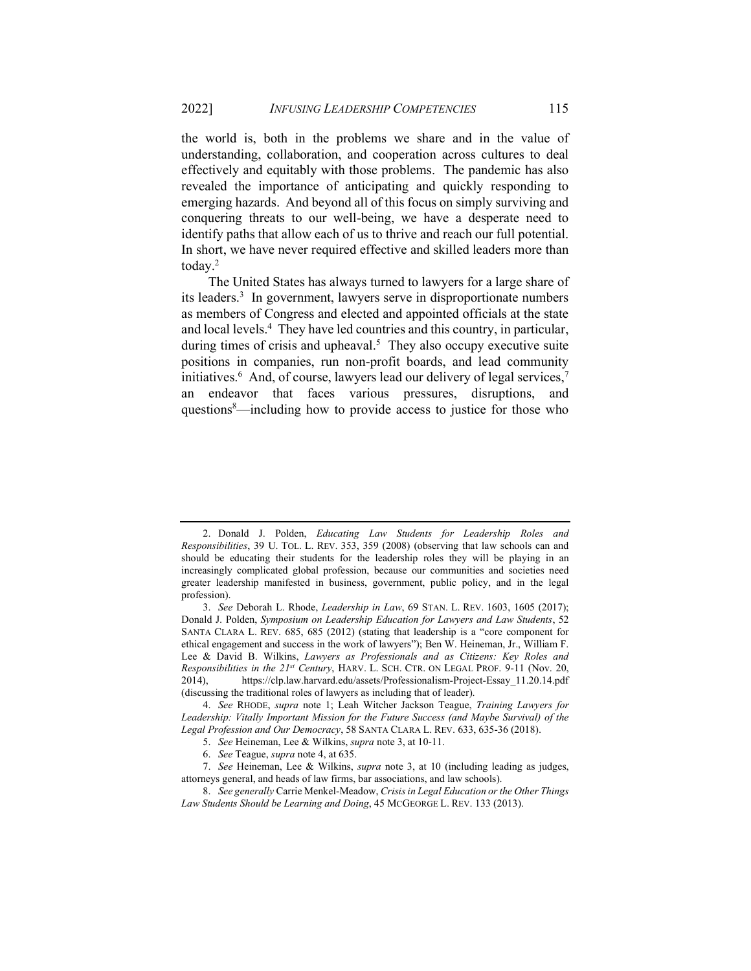the world is, both in the problems we share and in the value of understanding, collaboration, and cooperation across cultures to deal effectively and equitably with those problems. The pandemic has also revealed the importance of anticipating and quickly responding to emerging hazards. And beyond all of this focus on simply surviving and conquering threats to our well-being, we have a desperate need to identify paths that allow each of us to thrive and reach our full potential. In short, we have never required effective and skilled leaders more than today.<sup>2</sup>

The United States has always turned to lawyers for a large share of its leaders.<sup>3</sup> In government, lawyers serve in disproportionate numbers as members of Congress and elected and appointed officials at the state and local levels.<sup>4</sup> They have led countries and this country, in particular, during times of crisis and upheaval.<sup>5</sup> They also occupy executive suite positions in companies, run non-profit boards, and lead community initiatives.<sup>6</sup> And, of course, lawyers lead our delivery of legal services,<sup>7</sup> an endeavor that faces various pressures, disruptions, and questions<sup>8</sup>—including how to provide access to justice for those who

 <sup>2.</sup> Donald J. Polden, Educating Law Students for Leadership Roles and Responsibilities, 39 U. TOL. L. REV. 353, 359 (2008) (observing that law schools can and should be educating their students for the leadership roles they will be playing in an increasingly complicated global profession, because our communities and societies need greater leadership manifested in business, government, public policy, and in the legal profession).

<sup>3.</sup> See Deborah L. Rhode, Leadership in Law, 69 STAN. L. REV. 1603, 1605 (2017); Donald J. Polden, Symposium on Leadership Education for Lawyers and Law Students, 52 SANTA CLARA L. REV. 685, 685 (2012) (stating that leadership is a "core component for ethical engagement and success in the work of lawyers"); Ben W. Heineman, Jr., William F. Lee & David B. Wilkins, Lawyers as Professionals and as Citizens: Key Roles and Responsibilities in the 21st Century, HARV. L. SCH. CTR. ON LEGAL PROF. 9-11 (Nov. 20, 2014), https://clp.law.harvard.edu/assets/Professionalism-Project-Essay\_11.20.14.pdf (discussing the traditional roles of lawyers as including that of leader).

<sup>4.</sup> See RHODE, supra note 1; Leah Witcher Jackson Teague, Training Lawyers for Leadership: Vitally Important Mission for the Future Success (and Maybe Survival) of the Legal Profession and Our Democracy, 58 SANTA CLARA L. REV. 633, 635-36 (2018).

<sup>5.</sup> See Heineman, Lee & Wilkins, supra note 3, at 10-11.

<sup>6.</sup> See Teague, supra note 4, at 635.

<sup>7.</sup> See Heineman, Lee & Wilkins, supra note 3, at 10 (including leading as judges, attorneys general, and heads of law firms, bar associations, and law schools).

<sup>8.</sup> See generally Carrie Menkel-Meadow, Crisis in Legal Education or the Other Things Law Students Should be Learning and Doing, 45 MCGEORGE L. REV. 133 (2013).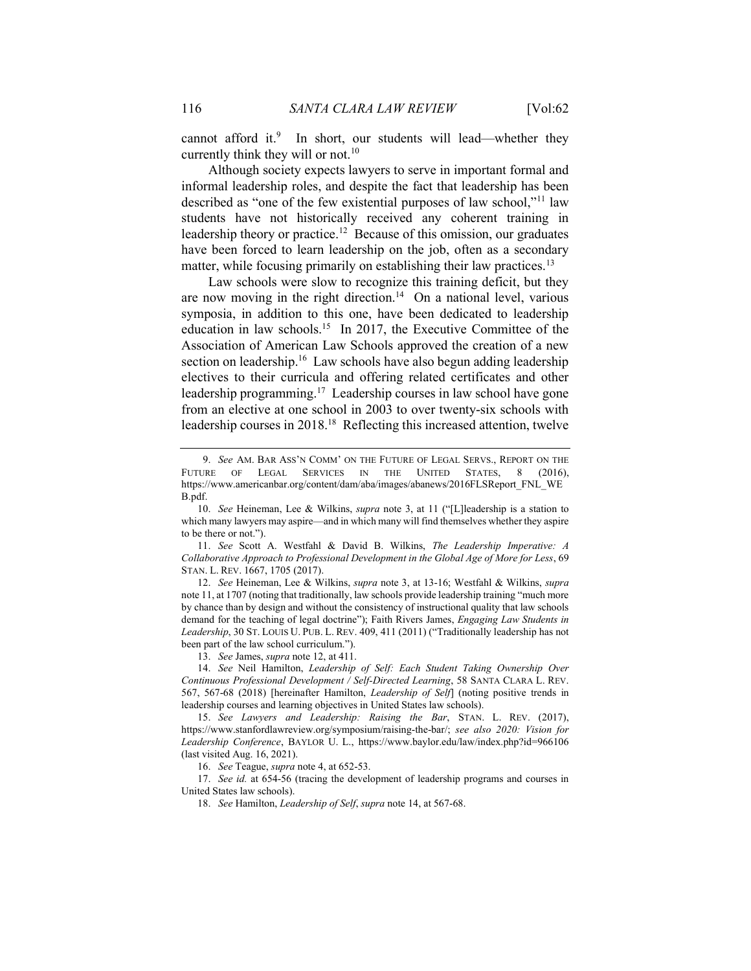cannot afford it.<sup>9</sup> In short, our students will lead—whether they currently think they will or not.<sup>10</sup>

Although society expects lawyers to serve in important formal and informal leadership roles, and despite the fact that leadership has been described as "one of the few existential purposes of law school,"<sup>11</sup> law students have not historically received any coherent training in leadership theory or practice.<sup>12</sup> Because of this omission, our graduates have been forced to learn leadership on the job, often as a secondary matter, while focusing primarily on establishing their law practices.<sup>13</sup>

Law schools were slow to recognize this training deficit, but they are now moving in the right direction.<sup>14</sup> On a national level, various symposia, in addition to this one, have been dedicated to leadership education in law schools.<sup>15</sup> In 2017, the Executive Committee of the Association of American Law Schools approved the creation of a new section on leadership.<sup>16</sup> Law schools have also begun adding leadership electives to their curricula and offering related certificates and other leadership programming.<sup>17</sup> Leadership courses in law school have gone from an elective at one school in 2003 to over twenty-six schools with leadership courses in 2018.<sup>18</sup> Reflecting this increased attention, twelve

11. See Scott A. Westfahl & David B. Wilkins, The Leadership Imperative: A Collaborative Approach to Professional Development in the Global Age of More for Less, 69 STAN. L. REV. 1667, 1705 (2017).

12. See Heineman, Lee & Wilkins, supra note 3, at 13-16; Westfahl & Wilkins, supra note 11, at 1707 (noting that traditionally, law schools provide leadership training "much more by chance than by design and without the consistency of instructional quality that law schools demand for the teaching of legal doctrine"); Faith Rivers James, Engaging Law Students in Leadership, 30 ST. LOUIS U. PUB. L. REV. 409, 411 (2011) ("Traditionally leadership has not been part of the law school curriculum.").

13. See James, supra note 12, at 411.

14. See Neil Hamilton, Leadership of Self: Each Student Taking Ownership Over Continuous Professional Development / Self-Directed Learning, 58 SANTA CLARA L. REV. 567, 567-68 (2018) [hereinafter Hamilton, Leadership of Self] (noting positive trends in leadership courses and learning objectives in United States law schools).

15. See Lawyers and Leadership: Raising the Bar, STAN. L. REV. (2017), https://www.stanfordlawreview.org/symposium/raising-the-bar/; see also 2020: Vision for Leadership Conference, BAYLOR U. L., https://www.baylor.edu/law/index.php?id=966106 (last visited Aug. 16, 2021).

16. See Teague, supra note 4, at 652-53.

17. See id. at 654-56 (tracing the development of leadership programs and courses in United States law schools).

18. See Hamilton, Leadership of Self, supra note 14, at 567-68.

<sup>9.</sup> See AM. BAR ASS'N COMM' ON THE FUTURE OF LEGAL SERVS., REPORT ON THE FUTURE OF LEGAL SERVICES IN THE UNITED STATES, 8 (2016), https://www.americanbar.org/content/dam/aba/images/abanews/2016FLSReport\_FNL\_WE B.pdf.

<sup>10.</sup> See Heineman, Lee & Wilkins, supra note 3, at 11 ("[L]leadership is a station to which many lawyers may aspire—and in which many will find themselves whether they aspire to be there or not.").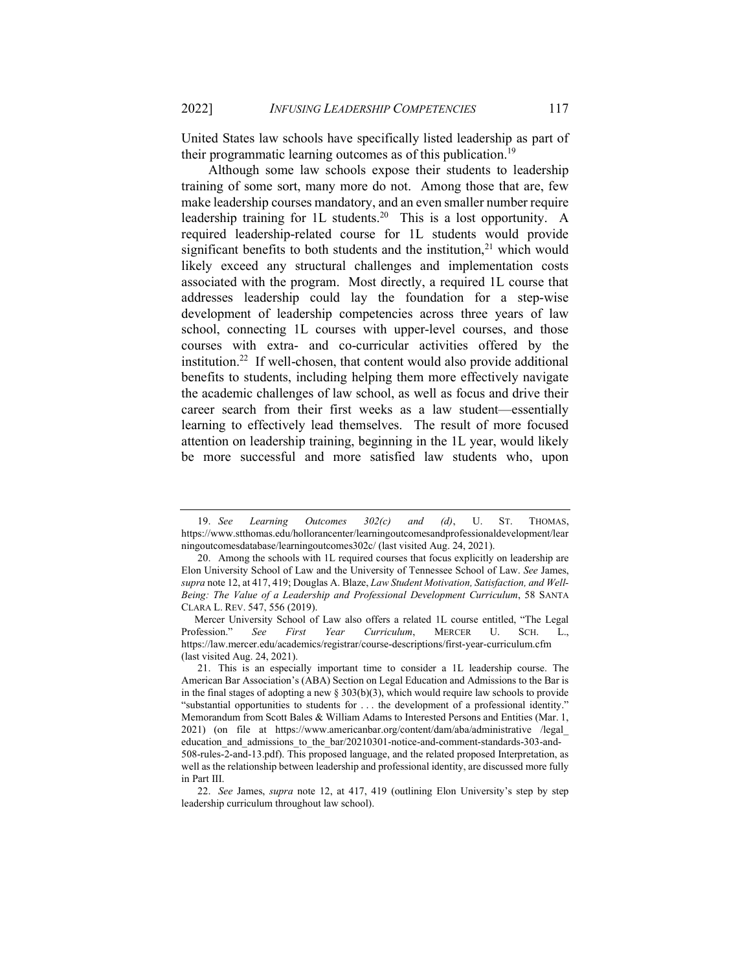United States law schools have specifically listed leadership as part of their programmatic learning outcomes as of this publication.<sup>19</sup>

Although some law schools expose their students to leadership training of some sort, many more do not. Among those that are, few make leadership courses mandatory, and an even smaller number require leadership training for  $1L$  students.<sup>20</sup> This is a lost opportunity. A required leadership-related course for 1L students would provide significant benefits to both students and the institution,<sup>21</sup> which would likely exceed any structural challenges and implementation costs associated with the program. Most directly, a required 1L course that addresses leadership could lay the foundation for a step-wise development of leadership competencies across three years of law school, connecting 1L courses with upper-level courses, and those courses with extra- and co-curricular activities offered by the institution.<sup>22</sup> If well-chosen, that content would also provide additional benefits to students, including helping them more effectively navigate the academic challenges of law school, as well as focus and drive their career search from their first weeks as a law student—essentially learning to effectively lead themselves. The result of more focused attention on leadership training, beginning in the 1L year, would likely be more successful and more satisfied law students who, upon

<sup>19.</sup> See Learning Outcomes  $302(c)$  and (d), U. ST. THOMAS, https://www.stthomas.edu/hollorancenter/learningoutcomesandprofessionaldevelopment/lear ningoutcomesdatabase/learningoutcomes302c/ (last visited Aug. 24, 2021).

 <sup>20.</sup> Among the schools with 1L required courses that focus explicitly on leadership are Elon University School of Law and the University of Tennessee School of Law. See James, supra note 12, at 417, 419; Douglas A. Blaze, Law Student Motivation, Satisfaction, and Well-Being: The Value of a Leadership and Professional Development Curriculum, 58 SANTA CLARA L. REV. 547, 556 (2019).

Mercer University School of Law also offers a related 1L course entitled, "The Legal Profession." See First Year Curriculum, MERCER U. SCH. L., https://law.mercer.edu/academics/registrar/course-descriptions/first-year-curriculum.cfm (last visited Aug. 24, 2021).

 <sup>21.</sup> This is an especially important time to consider a 1L leadership course. The American Bar Association's (ABA) Section on Legal Education and Admissions to the Bar is in the final stages of adopting a new  $\S 303(b)(3)$ , which would require law schools to provide "substantial opportunities to students for . . . the development of a professional identity." Memorandum from Scott Bales & William Adams to Interested Persons and Entities (Mar. 1, 2021) (on file at https://www.americanbar.org/content/dam/aba/administrative /legal\_ education\_and\_admissions\_to\_the\_bar/20210301-notice-and-comment-standards-303-and-508-rules-2-and-13.pdf). This proposed language, and the related proposed Interpretation, as well as the relationship between leadership and professional identity, are discussed more fully in Part III.

<sup>22.</sup> See James, supra note 12, at 417, 419 (outlining Elon University's step by step leadership curriculum throughout law school).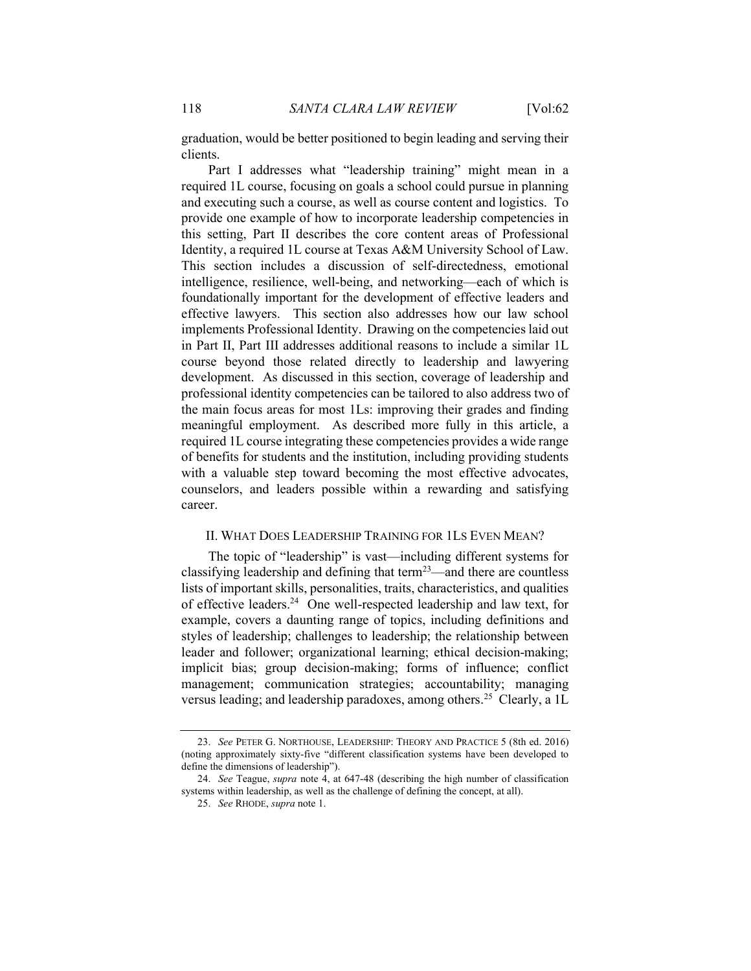graduation, would be better positioned to begin leading and serving their clients.

Part I addresses what "leadership training" might mean in a required 1L course, focusing on goals a school could pursue in planning and executing such a course, as well as course content and logistics. To provide one example of how to incorporate leadership competencies in this setting, Part II describes the core content areas of Professional Identity, a required 1L course at Texas A&M University School of Law. This section includes a discussion of self-directedness, emotional intelligence, resilience, well-being, and networking—each of which is foundationally important for the development of effective leaders and effective lawyers. This section also addresses how our law school implements Professional Identity. Drawing on the competencies laid out in Part II, Part III addresses additional reasons to include a similar 1L course beyond those related directly to leadership and lawyering development. As discussed in this section, coverage of leadership and professional identity competencies can be tailored to also address two of the main focus areas for most 1Ls: improving their grades and finding meaningful employment. As described more fully in this article, a required 1L course integrating these competencies provides a wide range of benefits for students and the institution, including providing students with a valuable step toward becoming the most effective advocates, counselors, and leaders possible within a rewarding and satisfying career.

#### II. WHAT DOES LEADERSHIP TRAINING FOR 1LS EVEN MEAN?

The topic of "leadership" is vast—including different systems for classifying leadership and defining that term<sup>23</sup>—and there are countless lists of important skills, personalities, traits, characteristics, and qualities of effective leaders.<sup>24</sup> One well-respected leadership and law text, for example, covers a daunting range of topics, including definitions and styles of leadership; challenges to leadership; the relationship between leader and follower; organizational learning; ethical decision-making; implicit bias; group decision-making; forms of influence; conflict management; communication strategies; accountability; managing versus leading; and leadership paradoxes, among others.<sup>25</sup> Clearly, a 1L

<sup>23.</sup> See PETER G. NORTHOUSE, LEADERSHIP: THEORY AND PRACTICE 5 (8th ed. 2016) (noting approximately sixty-five "different classification systems have been developed to define the dimensions of leadership").

<sup>24.</sup> See Teague, supra note 4, at 647-48 (describing the high number of classification systems within leadership, as well as the challenge of defining the concept, at all).

<sup>25.</sup> See RHODE, supra note 1.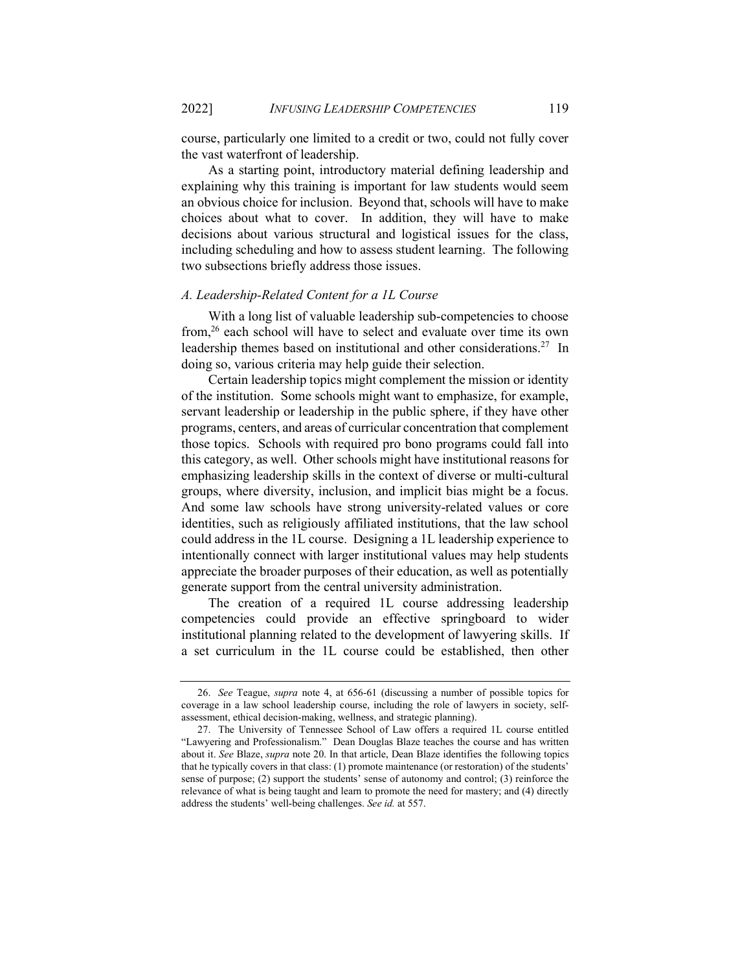course, particularly one limited to a credit or two, could not fully cover the vast waterfront of leadership.

As a starting point, introductory material defining leadership and explaining why this training is important for law students would seem an obvious choice for inclusion. Beyond that, schools will have to make choices about what to cover. In addition, they will have to make decisions about various structural and logistical issues for the class, including scheduling and how to assess student learning. The following two subsections briefly address those issues.

## A. Leadership-Related Content for a 1L Course

With a long list of valuable leadership sub-competencies to choose from,<sup>26</sup> each school will have to select and evaluate over time its own leadership themes based on institutional and other considerations.<sup>27</sup> In doing so, various criteria may help guide their selection.

Certain leadership topics might complement the mission or identity of the institution. Some schools might want to emphasize, for example, servant leadership or leadership in the public sphere, if they have other programs, centers, and areas of curricular concentration that complement those topics. Schools with required pro bono programs could fall into this category, as well. Other schools might have institutional reasons for emphasizing leadership skills in the context of diverse or multi-cultural groups, where diversity, inclusion, and implicit bias might be a focus. And some law schools have strong university-related values or core identities, such as religiously affiliated institutions, that the law school could address in the 1L course. Designing a 1L leadership experience to intentionally connect with larger institutional values may help students appreciate the broader purposes of their education, as well as potentially generate support from the central university administration.

The creation of a required 1L course addressing leadership competencies could provide an effective springboard to wider institutional planning related to the development of lawyering skills. If a set curriculum in the 1L course could be established, then other

<sup>26.</sup> See Teague, supra note 4, at 656-61 (discussing a number of possible topics for coverage in a law school leadership course, including the role of lawyers in society, selfassessment, ethical decision-making, wellness, and strategic planning).

 <sup>27.</sup> The University of Tennessee School of Law offers a required 1L course entitled "Lawyering and Professionalism." Dean Douglas Blaze teaches the course and has written about it. See Blaze, supra note 20. In that article, Dean Blaze identifies the following topics that he typically covers in that class: (1) promote maintenance (or restoration) of the students' sense of purpose; (2) support the students' sense of autonomy and control; (3) reinforce the relevance of what is being taught and learn to promote the need for mastery; and (4) directly address the students' well-being challenges. See id. at 557.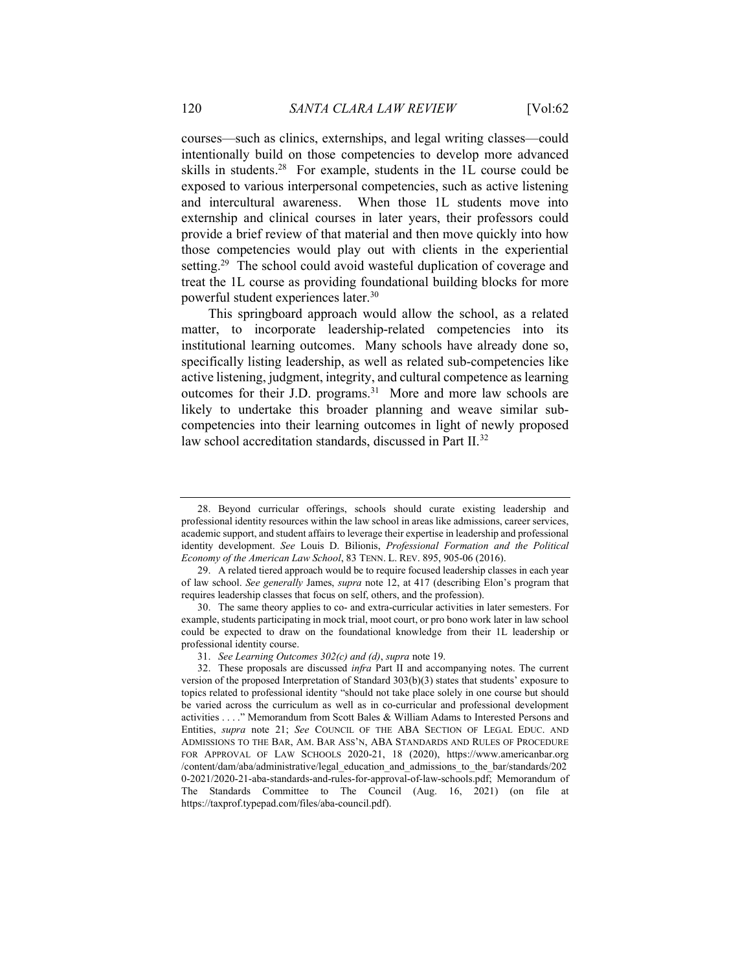courses—such as clinics, externships, and legal writing classes—could intentionally build on those competencies to develop more advanced skills in students.<sup>28</sup> For example, students in the 1L course could be exposed to various interpersonal competencies, such as active listening and intercultural awareness. When those 1L students move into externship and clinical courses in later years, their professors could provide a brief review of that material and then move quickly into how those competencies would play out with clients in the experiential setting.<sup>29</sup> The school could avoid wasteful duplication of coverage and treat the 1L course as providing foundational building blocks for more powerful student experiences later.<sup>30</sup>

This springboard approach would allow the school, as a related matter, to incorporate leadership-related competencies into its institutional learning outcomes. Many schools have already done so, specifically listing leadership, as well as related sub-competencies like active listening, judgment, integrity, and cultural competence as learning outcomes for their J.D. programs.<sup>31</sup> More and more law schools are likely to undertake this broader planning and weave similar subcompetencies into their learning outcomes in light of newly proposed law school accreditation standards, discussed in Part II.<sup>32</sup>

 <sup>28.</sup> Beyond curricular offerings, schools should curate existing leadership and professional identity resources within the law school in areas like admissions, career services, academic support, and student affairs to leverage their expertise in leadership and professional identity development. See Louis D. Bilionis, Professional Formation and the Political Economy of the American Law School, 83 TENN. L. REV. 895, 905-06 (2016).

 <sup>29.</sup> A related tiered approach would be to require focused leadership classes in each year of law school. See generally James, supra note 12, at 417 (describing Elon's program that requires leadership classes that focus on self, others, and the profession).

 <sup>30.</sup> The same theory applies to co- and extra-curricular activities in later semesters. For example, students participating in mock trial, moot court, or pro bono work later in law school could be expected to draw on the foundational knowledge from their 1L leadership or professional identity course.

<sup>31.</sup> See Learning Outcomes 302(c) and (d), supra note 19.

<sup>32.</sup> These proposals are discussed infra Part II and accompanying notes. The current version of the proposed Interpretation of Standard 303(b)(3) states that students' exposure to topics related to professional identity "should not take place solely in one course but should be varied across the curriculum as well as in co-curricular and professional development activities . . . ." Memorandum from Scott Bales & William Adams to Interested Persons and Entities, supra note 21; See COUNCIL OF THE ABA SECTION OF LEGAL EDUC. AND ADMISSIONS TO THE BAR, AM. BAR ASS'N, ABA STANDARDS AND RULES OF PROCEDURE FOR APPROVAL OF LAW SCHOOLS 2020-21, 18 (2020), https://www.americanbar.org /content/dam/aba/administrative/legal\_education\_and\_admissions\_to\_the\_bar/standards/202 0-2021/2020-21-aba-standards-and-rules-for-approval-of-law-schools.pdf; Memorandum of The Standards Committee to The Council (Aug. 16, 2021) (on file at https://taxprof.typepad.com/files/aba-council.pdf).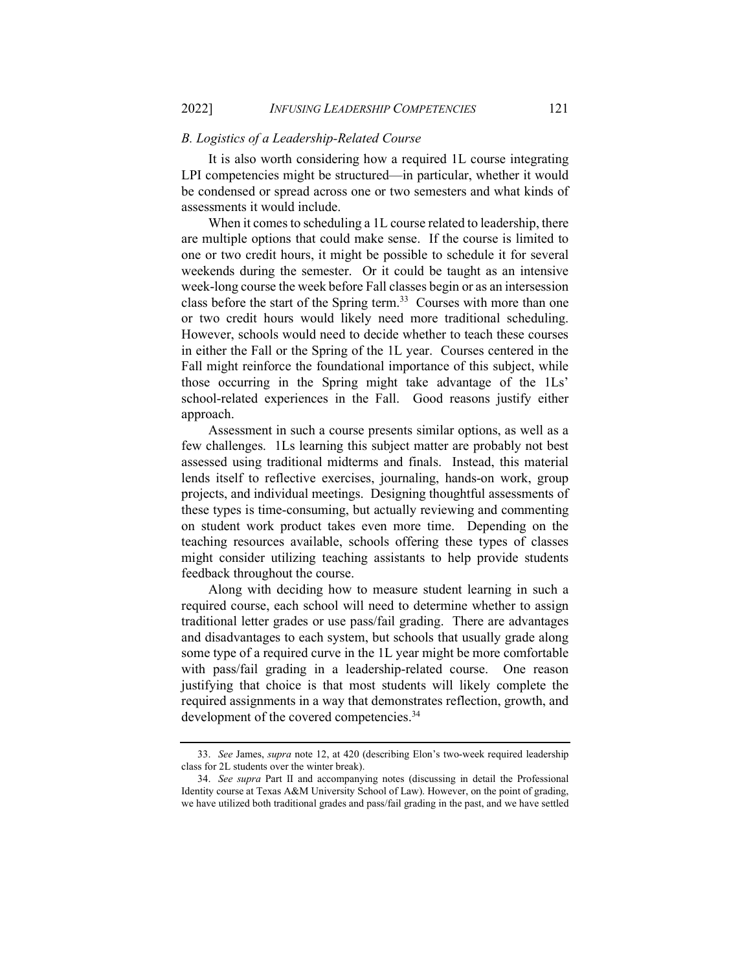#### B. Logistics of a Leadership-Related Course

It is also worth considering how a required 1L course integrating LPI competencies might be structured—in particular, whether it would be condensed or spread across one or two semesters and what kinds of assessments it would include.

When it comes to scheduling a 1L course related to leadership, there are multiple options that could make sense. If the course is limited to one or two credit hours, it might be possible to schedule it for several weekends during the semester. Or it could be taught as an intensive week-long course the week before Fall classes begin or as an intersession class before the start of the Spring term.<sup>33</sup> Courses with more than one or two credit hours would likely need more traditional scheduling. However, schools would need to decide whether to teach these courses in either the Fall or the Spring of the 1L year. Courses centered in the Fall might reinforce the foundational importance of this subject, while those occurring in the Spring might take advantage of the 1Ls' school-related experiences in the Fall. Good reasons justify either approach.

Assessment in such a course presents similar options, as well as a few challenges. 1Ls learning this subject matter are probably not best assessed using traditional midterms and finals. Instead, this material lends itself to reflective exercises, journaling, hands-on work, group projects, and individual meetings. Designing thoughtful assessments of these types is time-consuming, but actually reviewing and commenting on student work product takes even more time. Depending on the teaching resources available, schools offering these types of classes might consider utilizing teaching assistants to help provide students feedback throughout the course.

Along with deciding how to measure student learning in such a required course, each school will need to determine whether to assign traditional letter grades or use pass/fail grading. There are advantages and disadvantages to each system, but schools that usually grade along some type of a required curve in the 1L year might be more comfortable with pass/fail grading in a leadership-related course. One reason justifying that choice is that most students will likely complete the required assignments in a way that demonstrates reflection, growth, and development of the covered competencies.<sup>34</sup>

<sup>33.</sup> See James, supra note 12, at 420 (describing Elon's two-week required leadership class for 2L students over the winter break).

<sup>34.</sup> See supra Part II and accompanying notes (discussing in detail the Professional Identity course at Texas A&M University School of Law). However, on the point of grading, we have utilized both traditional grades and pass/fail grading in the past, and we have settled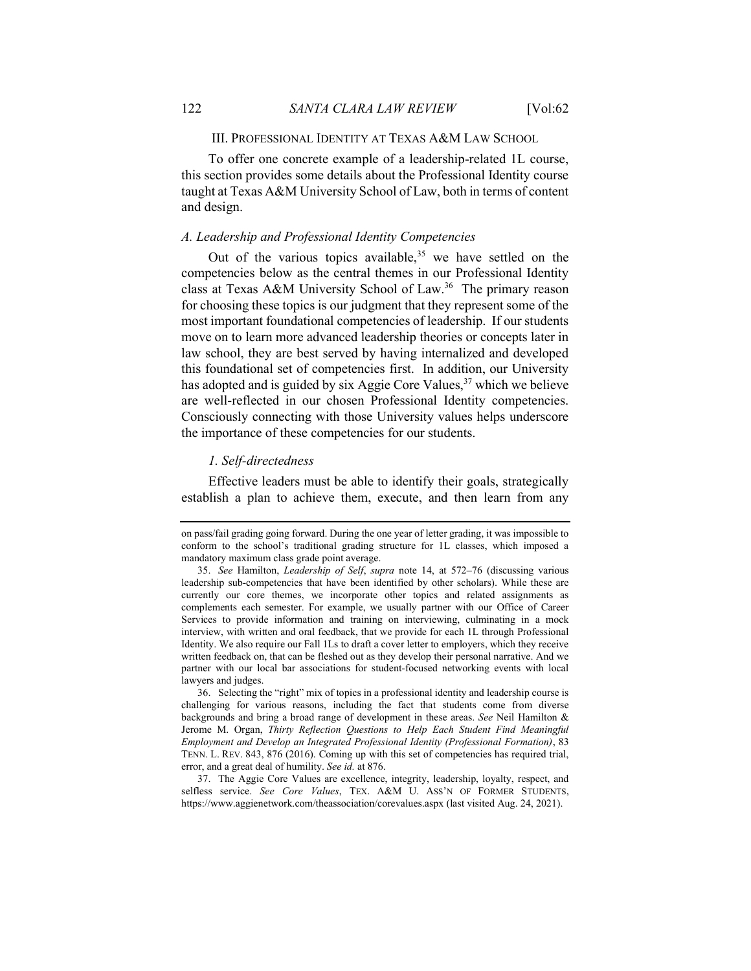## III. PROFESSIONAL IDENTITY AT TEXAS A&M LAW SCHOOL

To offer one concrete example of a leadership-related 1L course, this section provides some details about the Professional Identity course taught at Texas A&M University School of Law, both in terms of content and design.

## A. Leadership and Professional Identity Competencies

Out of the various topics available,<sup>35</sup> we have settled on the competencies below as the central themes in our Professional Identity class at Texas A&M University School of Law.<sup>36</sup> The primary reason for choosing these topics is our judgment that they represent some of the most important foundational competencies of leadership. If our students move on to learn more advanced leadership theories or concepts later in law school, they are best served by having internalized and developed this foundational set of competencies first. In addition, our University has adopted and is guided by six Aggie Core Values,<sup>37</sup> which we believe are well-reflected in our chosen Professional Identity competencies. Consciously connecting with those University values helps underscore the importance of these competencies for our students.

#### 1. Self-directedness

Effective leaders must be able to identify their goals, strategically establish a plan to achieve them, execute, and then learn from any

on pass/fail grading going forward. During the one year of letter grading, it was impossible to conform to the school's traditional grading structure for 1L classes, which imposed a mandatory maximum class grade point average.

<sup>35.</sup> See Hamilton, Leadership of Self, supra note 14, at 572–76 (discussing various leadership sub-competencies that have been identified by other scholars). While these are currently our core themes, we incorporate other topics and related assignments as complements each semester. For example, we usually partner with our Office of Career Services to provide information and training on interviewing, culminating in a mock interview, with written and oral feedback, that we provide for each 1L through Professional Identity. We also require our Fall 1Ls to draft a cover letter to employers, which they receive written feedback on, that can be fleshed out as they develop their personal narrative. And we partner with our local bar associations for student-focused networking events with local lawyers and judges.

 <sup>36.</sup> Selecting the "right" mix of topics in a professional identity and leadership course is challenging for various reasons, including the fact that students come from diverse backgrounds and bring a broad range of development in these areas. See Neil Hamilton & Jerome M. Organ, Thirty Reflection Questions to Help Each Student Find Meaningful Employment and Develop an Integrated Professional Identity (Professional Formation), 83 TENN. L. REV. 843, 876 (2016). Coming up with this set of competencies has required trial, error, and a great deal of humility. See id. at 876.

 <sup>37.</sup> The Aggie Core Values are excellence, integrity, leadership, loyalty, respect, and selfless service. See Core Values, TEX. A&M U. ASS'N OF FORMER STUDENTS, https://www.aggienetwork.com/theassociation/corevalues.aspx (last visited Aug. 24, 2021).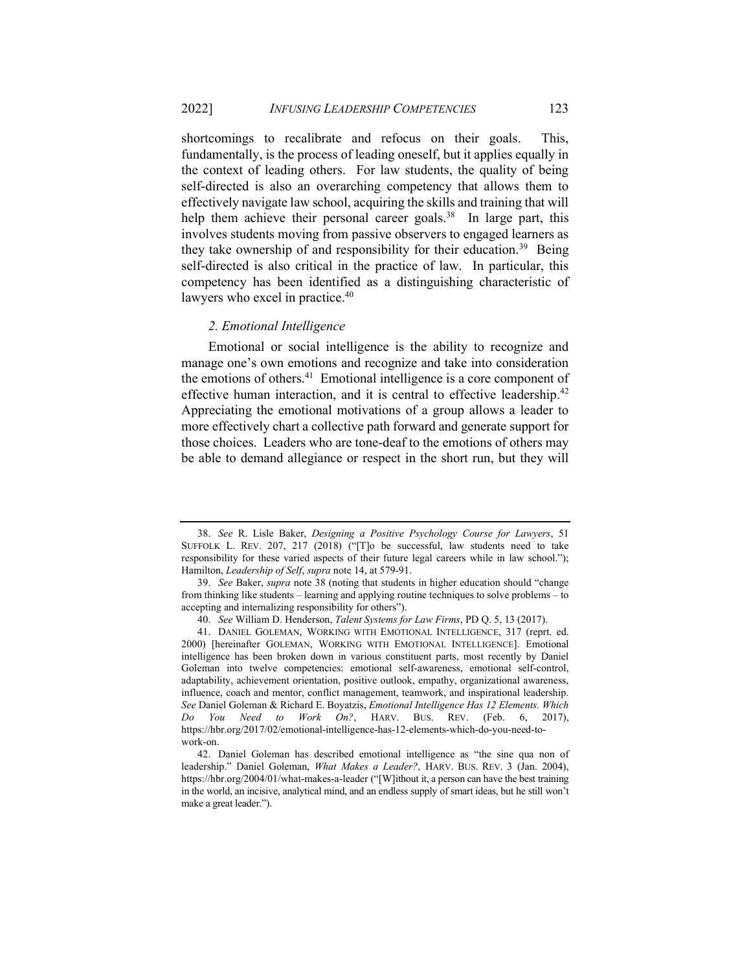shortcomings to recalibrate and refocus on their goals. This, fundamentally, is the process of leading oneself, but it applies equally in the context of leading others. For law students, the quality of being self-directed is also an overarching competency that allows them to effectively navigate law school, acquiring the skills and training that will help them achieve their personal career goals.<sup>38</sup> In large part, this involves students moving from passive observers to engaged learners as they take ownership of and responsibility for their education.<sup>39</sup> Being self-directed is also critical in the practice of law. In particular, this competency has been identified as a distinguishing characteristic of lawyers who excel in practice.<sup>40</sup>

## 2. Emotional Intelligence

Emotional or social intelligence is the ability to recognize and manage one's own emotions and recognize and take into consideration the emotions of others.<sup>41</sup> Emotional intelligence is a core component of effective human interaction, and it is central to effective leadership.<sup>42</sup> Appreciating the emotional motivations of a group allows a leader to more effectively chart a collective path forward and generate support for those choices. Leaders who are tone-deaf to the emotions of others may be able to demand allegiance or respect in the short run, but they will

<sup>38.</sup> See R. Lisle Baker, Designing a Positive Psychology Course for Lawyers, 51 SUFFOLK L. REV. 207, 217 (2018) ("[T]o be successful, law students need to take responsibility for these varied aspects of their future legal careers while in law school."); Hamilton, Leadership of Self, supra note 14, at 579-91.

<sup>39.</sup> See Baker, supra note 38 (noting that students in higher education should "change from thinking like students – learning and applying routine techniques to solve problems – to accepting and internalizing responsibility for others").

<sup>40.</sup> See William D. Henderson, Talent Systems for Law Firms, PD Q. 5, 13 (2017).

 <sup>41.</sup> DANIEL GOLEMAN, WORKING WITH EMOTIONAL INTELLIGENCE, 317 (reprt. ed. 2000) [hereinafter GOLEMAN, WORKING WITH EMOTIONAL INTELLIGENCE]. Emotional intelligence has been broken down in various constituent parts, most recently by Daniel Goleman into twelve competencies: emotional self-awareness, emotional self-control, adaptability, achievement orientation, positive outlook, empathy, organizational awareness, influence, coach and mentor, conflict management, teamwork, and inspirational leadership. See Daniel Goleman & Richard E. Boyatzis, Emotional Intelligence Has 12 Elements. Which Do You Need to Work On?, HARV. BUS. REV. (Feb. 6, 2017), https://hbr.org/2017/02/emotional-intelligence-has-12-elements-which-do-you-need-towork-on.

 <sup>42.</sup> Daniel Goleman has described emotional intelligence as "the sine qua non of leadership." Daniel Goleman, What Makes a Leader?, HARV. BUS. REV. 3 (Jan. 2004), https://hbr.org/2004/01/what-makes-a-leader ("[W]ithout it, a person can have the best training in the world, an incisive, analytical mind, and an endless supply of smart ideas, but he still won't make a great leader.").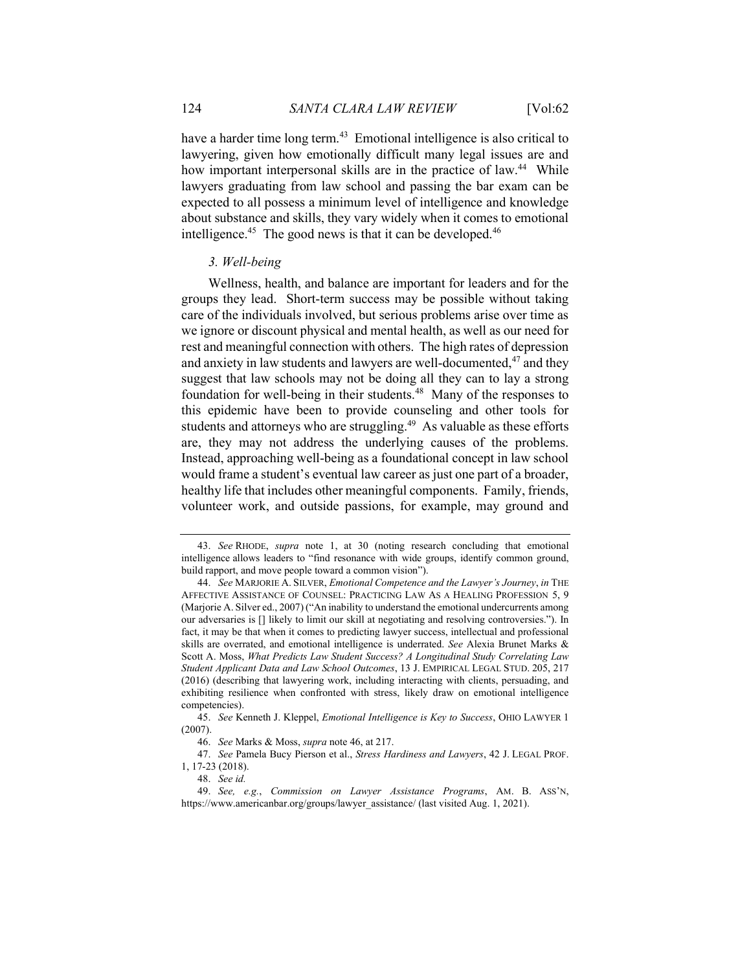have a harder time long term.<sup>43</sup> Emotional intelligence is also critical to lawyering, given how emotionally difficult many legal issues are and how important interpersonal skills are in the practice of law.<sup>44</sup> While lawyers graduating from law school and passing the bar exam can be expected to all possess a minimum level of intelligence and knowledge about substance and skills, they vary widely when it comes to emotional intelligence.<sup>45</sup> The good news is that it can be developed.<sup>46</sup>

## 3. Well-being

 Wellness, health, and balance are important for leaders and for the groups they lead. Short-term success may be possible without taking care of the individuals involved, but serious problems arise over time as we ignore or discount physical and mental health, as well as our need for rest and meaningful connection with others. The high rates of depression and anxiety in law students and lawyers are well-documented,<sup>47</sup> and they suggest that law schools may not be doing all they can to lay a strong foundation for well-being in their students.<sup>48</sup> Many of the responses to this epidemic have been to provide counseling and other tools for students and attorneys who are struggling.<sup>49</sup> As valuable as these efforts are, they may not address the underlying causes of the problems. Instead, approaching well-being as a foundational concept in law school would frame a student's eventual law career as just one part of a broader, healthy life that includes other meaningful components. Family, friends, volunteer work, and outside passions, for example, may ground and

<sup>43.</sup> See RHODE, supra note 1, at 30 (noting research concluding that emotional intelligence allows leaders to "find resonance with wide groups, identify common ground, build rapport, and move people toward a common vision").

<sup>44.</sup> See MARJORIE A. SILVER, Emotional Competence and the Lawyer's Journey, in THE AFFECTIVE ASSISTANCE OF COUNSEL: PRACTICING LAW AS A HEALING PROFESSION 5, 9 (Marjorie A. Silver ed., 2007) ("An inability to understand the emotional undercurrents among our adversaries is [] likely to limit our skill at negotiating and resolving controversies."). In fact, it may be that when it comes to predicting lawyer success, intellectual and professional skills are overrated, and emotional intelligence is underrated. See Alexia Brunet Marks & Scott A. Moss, What Predicts Law Student Success? A Longitudinal Study Correlating Law Student Applicant Data and Law School Outcomes, 13 J. EMPIRICAL LEGAL STUD. 205, 217 (2016) (describing that lawyering work, including interacting with clients, persuading, and exhibiting resilience when confronted with stress, likely draw on emotional intelligence competencies).

<sup>45.</sup> See Kenneth J. Kleppel, Emotional Intelligence is Key to Success, OHIO LAWYER 1 (2007).

<sup>46.</sup> See Marks & Moss, supra note 46, at 217.

<sup>47.</sup> See Pamela Bucy Pierson et al., Stress Hardiness and Lawyers, 42 J. LEGAL PROF. 1, 17-23 (2018).

<sup>48.</sup> See id.

<sup>49.</sup> See, e.g., Commission on Lawyer Assistance Programs, AM. B. ASS'N, https://www.americanbar.org/groups/lawyer\_assistance/ (last visited Aug. 1, 2021).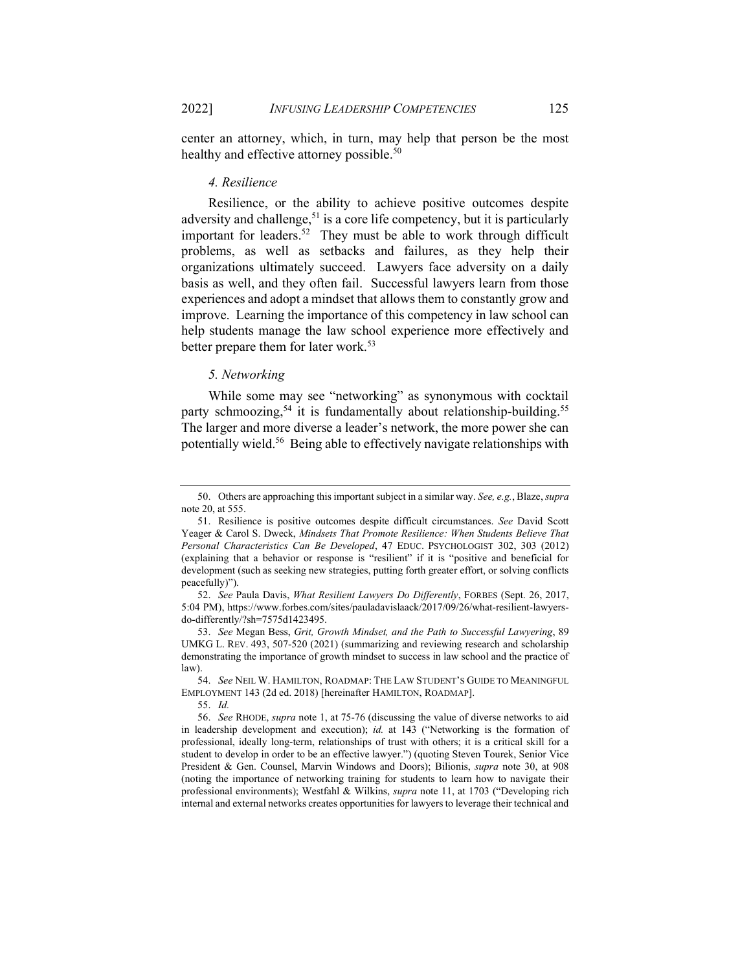center an attorney, which, in turn, may help that person be the most healthy and effective attorney possible.<sup>50</sup>

#### 4. Resilience

 Resilience, or the ability to achieve positive outcomes despite adversity and challenge,<sup>51</sup> is a core life competency, but it is particularly important for leaders.<sup>52</sup> They must be able to work through difficult problems, as well as setbacks and failures, as they help their organizations ultimately succeed. Lawyers face adversity on a daily basis as well, and they often fail. Successful lawyers learn from those experiences and adopt a mindset that allows them to constantly grow and improve. Learning the importance of this competency in law school can help students manage the law school experience more effectively and better prepare them for later work.<sup>53</sup>

#### 5. Networking

 While some may see "networking" as synonymous with cocktail party schmoozing,<sup>54</sup> it is fundamentally about relationship-building.<sup>55</sup> The larger and more diverse a leader's network, the more power she can potentially wield.<sup>56</sup> Being able to effectively navigate relationships with

<sup>50.</sup> Others are approaching this important subject in a similar way. See, e.g., Blaze, supra note 20, at 555.

 <sup>51.</sup> Resilience is positive outcomes despite difficult circumstances. See David Scott Yeager & Carol S. Dweck, Mindsets That Promote Resilience: When Students Believe That Personal Characteristics Can Be Developed, 47 EDUC. PSYCHOLOGIST 302, 303 (2012) (explaining that a behavior or response is "resilient" if it is "positive and beneficial for development (such as seeking new strategies, putting forth greater effort, or solving conflicts peacefully)").

<sup>52.</sup> See Paula Davis, What Resilient Lawyers Do Differently, FORBES (Sept. 26, 2017, 5:04 PM), https://www.forbes.com/sites/pauladavislaack/2017/09/26/what-resilient-lawyersdo-differently/?sh=7575d1423495.

<sup>53.</sup> See Megan Bess, Grit, Growth Mindset, and the Path to Successful Lawyering, 89 UMKG L. REV. 493, 507-520 (2021) (summarizing and reviewing research and scholarship demonstrating the importance of growth mindset to success in law school and the practice of law).

<sup>54.</sup> See NEIL W. HAMILTON, ROADMAP: THE LAW STUDENT'S GUIDE TO MEANINGFUL EMPLOYMENT 143 (2d ed. 2018) [hereinafter HAMILTON, ROADMAP].

<sup>55.</sup> Id.

<sup>56.</sup> See RHODE, supra note 1, at 75-76 (discussing the value of diverse networks to aid in leadership development and execution); id. at 143 ("Networking is the formation of professional, ideally long-term, relationships of trust with others; it is a critical skill for a student to develop in order to be an effective lawyer.") (quoting Steven Tourek, Senior Vice President & Gen. Counsel, Marvin Windows and Doors); Bilionis, supra note 30, at 908 (noting the importance of networking training for students to learn how to navigate their professional environments); Westfahl & Wilkins, supra note 11, at 1703 ("Developing rich internal and external networks creates opportunities for lawyers to leverage their technical and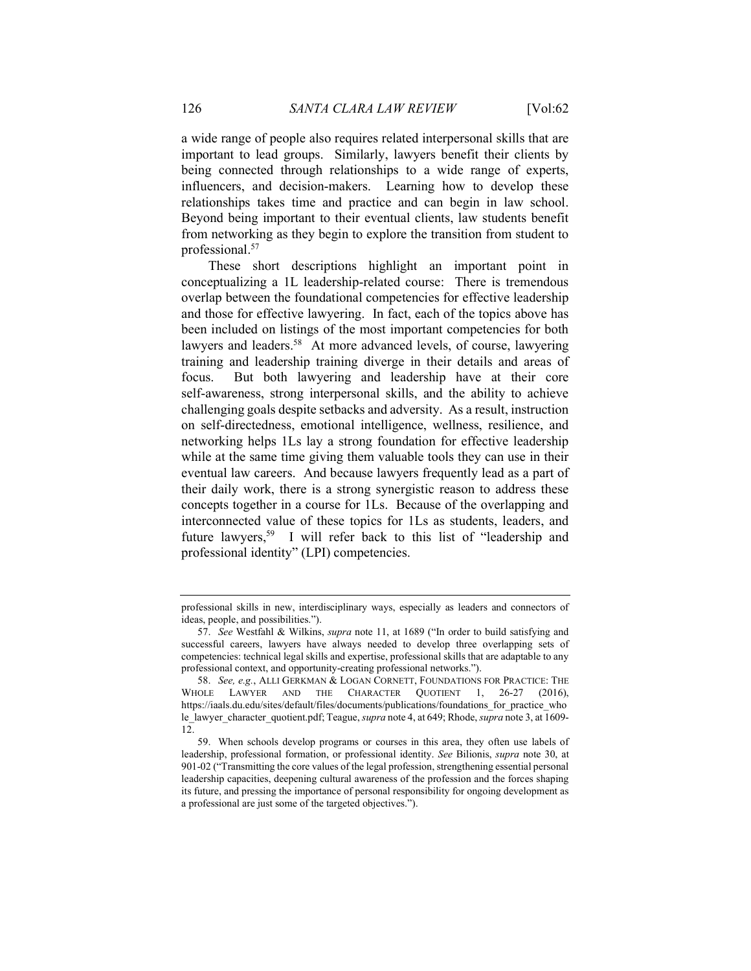a wide range of people also requires related interpersonal skills that are important to lead groups. Similarly, lawyers benefit their clients by being connected through relationships to a wide range of experts, influencers, and decision-makers. Learning how to develop these relationships takes time and practice and can begin in law school. Beyond being important to their eventual clients, law students benefit from networking as they begin to explore the transition from student to professional.<sup>57</sup>

These short descriptions highlight an important point in conceptualizing a 1L leadership-related course: There is tremendous overlap between the foundational competencies for effective leadership and those for effective lawyering. In fact, each of the topics above has been included on listings of the most important competencies for both lawyers and leaders.<sup>58</sup> At more advanced levels, of course, lawyering training and leadership training diverge in their details and areas of focus. But both lawyering and leadership have at their core self-awareness, strong interpersonal skills, and the ability to achieve challenging goals despite setbacks and adversity. As a result, instruction on self-directedness, emotional intelligence, wellness, resilience, and networking helps 1Ls lay a strong foundation for effective leadership while at the same time giving them valuable tools they can use in their eventual law careers. And because lawyers frequently lead as a part of their daily work, there is a strong synergistic reason to address these concepts together in a course for 1Ls. Because of the overlapping and interconnected value of these topics for 1Ls as students, leaders, and future lawyers,<sup>59</sup> I will refer back to this list of "leadership and professional identity" (LPI) competencies.

professional skills in new, interdisciplinary ways, especially as leaders and connectors of ideas, people, and possibilities.").

<sup>57.</sup> See Westfahl & Wilkins, supra note 11, at 1689 ("In order to build satisfying and successful careers, lawyers have always needed to develop three overlapping sets of competencies: technical legal skills and expertise, professional skills that are adaptable to any professional context, and opportunity-creating professional networks.").

<sup>58.</sup> See, e.g., ALLI GERKMAN & LOGAN CORNETT, FOUNDATIONS FOR PRACTICE: THE WHOLE LAWYER AND THE CHARACTER OUOTIENT 1, 26-27 (2016), https://iaals.du.edu/sites/default/files/documents/publications/foundations\_for\_practice\_who le lawyer character quotient.pdf; Teague, supra note 4, at 649; Rhode, supra note 3, at 1609- $12.$ 

 <sup>59.</sup> When schools develop programs or courses in this area, they often use labels of leadership, professional formation, or professional identity. See Bilionis, supra note 30, at 901-02 ("Transmitting the core values of the legal profession, strengthening essential personal leadership capacities, deepening cultural awareness of the profession and the forces shaping its future, and pressing the importance of personal responsibility for ongoing development as a professional are just some of the targeted objectives.").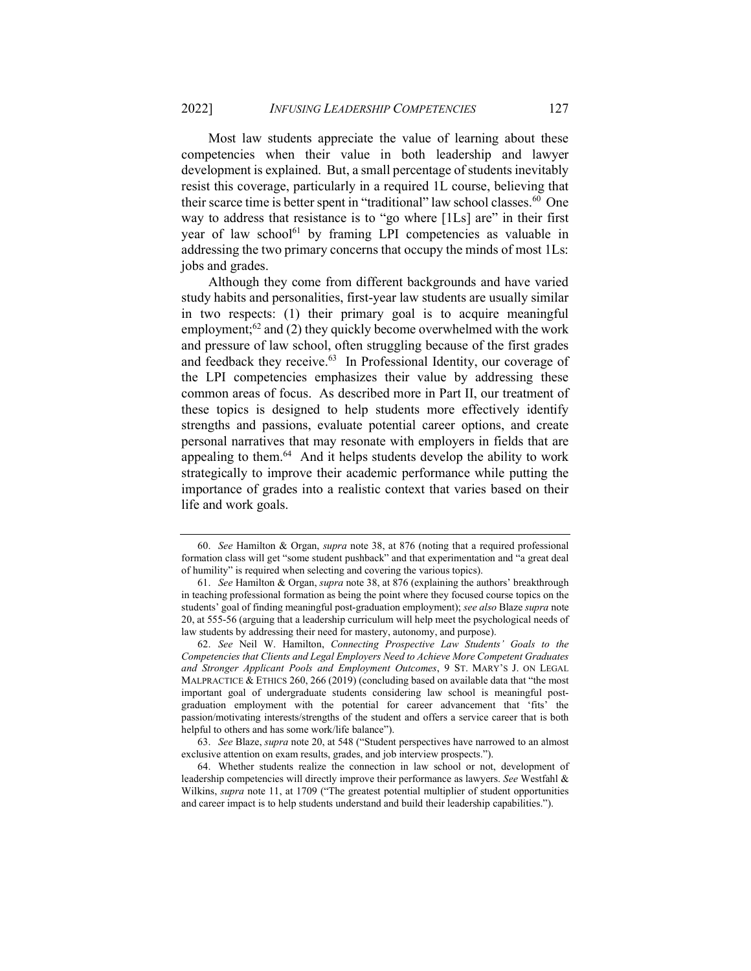Most law students appreciate the value of learning about these competencies when their value in both leadership and lawyer development is explained. But, a small percentage of students inevitably resist this coverage, particularly in a required 1L course, believing that their scarce time is better spent in "traditional" law school classes.<sup>60</sup> One way to address that resistance is to "go where [1Ls] are" in their first year of law school<sup>61</sup> by framing LPI competencies as valuable in addressing the two primary concerns that occupy the minds of most 1Ls: jobs and grades.

Although they come from different backgrounds and have varied study habits and personalities, first-year law students are usually similar in two respects: (1) their primary goal is to acquire meaningful employment; $62$  and (2) they quickly become overwhelmed with the work and pressure of law school, often struggling because of the first grades and feedback they receive.<sup>63</sup> In Professional Identity, our coverage of the LPI competencies emphasizes their value by addressing these common areas of focus. As described more in Part II, our treatment of these topics is designed to help students more effectively identify strengths and passions, evaluate potential career options, and create personal narratives that may resonate with employers in fields that are appealing to them.<sup>64</sup> And it helps students develop the ability to work strategically to improve their academic performance while putting the importance of grades into a realistic context that varies based on their life and work goals.

<sup>60.</sup> See Hamilton & Organ, supra note 38, at 876 (noting that a required professional formation class will get "some student pushback" and that experimentation and "a great deal of humility" is required when selecting and covering the various topics).

<sup>61.</sup> See Hamilton & Organ, supra note 38, at 876 (explaining the authors' breakthrough in teaching professional formation as being the point where they focused course topics on the students' goal of finding meaningful post-graduation employment); see also Blaze supra note 20, at 555-56 (arguing that a leadership curriculum will help meet the psychological needs of law students by addressing their need for mastery, autonomy, and purpose).

<sup>62.</sup> See Neil W. Hamilton, Connecting Prospective Law Students' Goals to the Competencies that Clients and Legal Employers Need to Achieve More Competent Graduates and Stronger Applicant Pools and Employment Outcomes, 9 ST. MARY'S J. ON LEGAL MALPRACTICE & ETHICS 260, 266 (2019) (concluding based on available data that "the most important goal of undergraduate students considering law school is meaningful postgraduation employment with the potential for career advancement that 'fits' the passion/motivating interests/strengths of the student and offers a service career that is both helpful to others and has some work/life balance").

<sup>63.</sup> See Blaze, supra note 20, at 548 ("Student perspectives have narrowed to an almost exclusive attention on exam results, grades, and job interview prospects.").

 <sup>64.</sup> Whether students realize the connection in law school or not, development of leadership competencies will directly improve their performance as lawyers. See Westfahl & Wilkins, supra note 11, at 1709 ("The greatest potential multiplier of student opportunities and career impact is to help students understand and build their leadership capabilities.").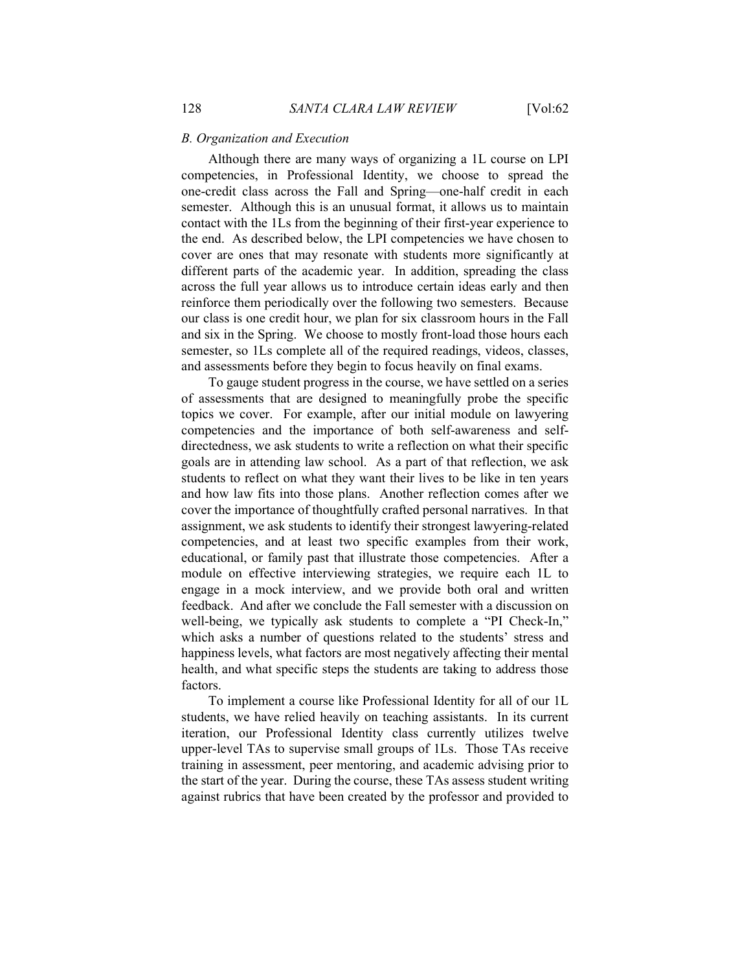Although there are many ways of organizing a 1L course on LPI competencies, in Professional Identity, we choose to spread the one-credit class across the Fall and Spring—one-half credit in each semester. Although this is an unusual format, it allows us to maintain contact with the 1Ls from the beginning of their first-year experience to the end. As described below, the LPI competencies we have chosen to cover are ones that may resonate with students more significantly at different parts of the academic year. In addition, spreading the class across the full year allows us to introduce certain ideas early and then reinforce them periodically over the following two semesters. Because our class is one credit hour, we plan for six classroom hours in the Fall and six in the Spring. We choose to mostly front-load those hours each semester, so 1Ls complete all of the required readings, videos, classes, and assessments before they begin to focus heavily on final exams.

To gauge student progress in the course, we have settled on a series of assessments that are designed to meaningfully probe the specific topics we cover. For example, after our initial module on lawyering competencies and the importance of both self-awareness and selfdirectedness, we ask students to write a reflection on what their specific goals are in attending law school. As a part of that reflection, we ask students to reflect on what they want their lives to be like in ten years and how law fits into those plans. Another reflection comes after we cover the importance of thoughtfully crafted personal narratives. In that assignment, we ask students to identify their strongest lawyering-related competencies, and at least two specific examples from their work, educational, or family past that illustrate those competencies. After a module on effective interviewing strategies, we require each 1L to engage in a mock interview, and we provide both oral and written feedback. And after we conclude the Fall semester with a discussion on well-being, we typically ask students to complete a "PI Check-In," which asks a number of questions related to the students' stress and happiness levels, what factors are most negatively affecting their mental health, and what specific steps the students are taking to address those factors.

To implement a course like Professional Identity for all of our 1L students, we have relied heavily on teaching assistants. In its current iteration, our Professional Identity class currently utilizes twelve upper-level TAs to supervise small groups of 1Ls. Those TAs receive training in assessment, peer mentoring, and academic advising prior to the start of the year. During the course, these TAs assess student writing against rubrics that have been created by the professor and provided to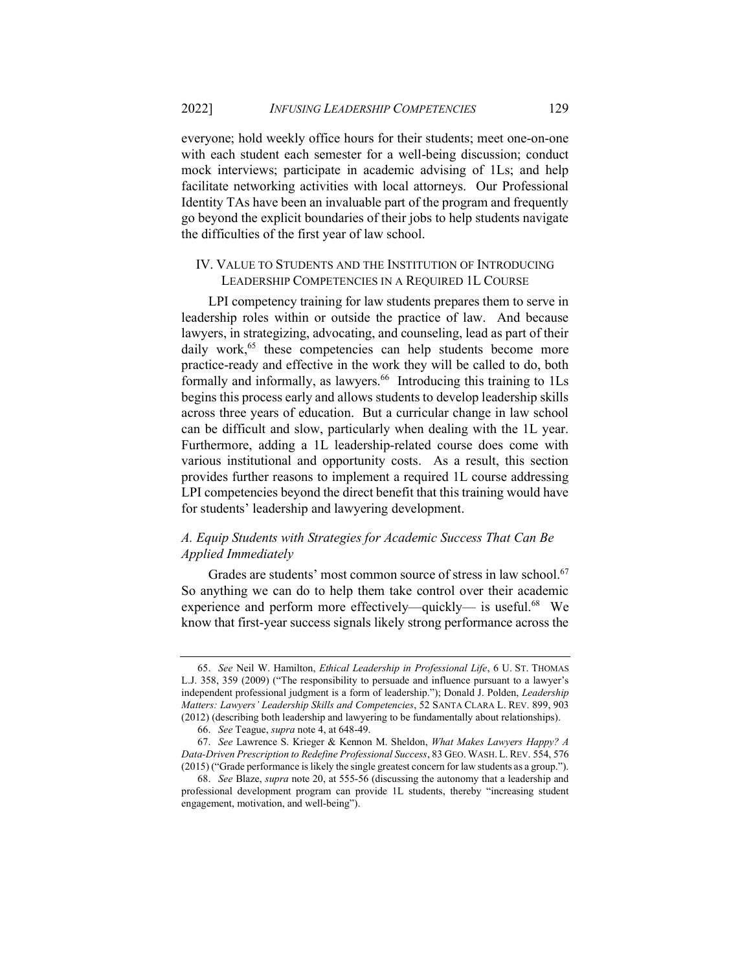everyone; hold weekly office hours for their students; meet one-on-one with each student each semester for a well-being discussion; conduct mock interviews; participate in academic advising of 1Ls; and help facilitate networking activities with local attorneys. Our Professional Identity TAs have been an invaluable part of the program and frequently go beyond the explicit boundaries of their jobs to help students navigate the difficulties of the first year of law school.

## IV. VALUE TO STUDENTS AND THE INSTITUTION OF INTRODUCING LEADERSHIP COMPETENCIES IN A REQUIRED 1L COURSE

LPI competency training for law students prepares them to serve in leadership roles within or outside the practice of law. And because lawyers, in strategizing, advocating, and counseling, lead as part of their daily work,<sup>65</sup> these competencies can help students become more practice-ready and effective in the work they will be called to do, both formally and informally, as lawyers.<sup>66</sup> Introducing this training to 1Ls begins this process early and allows students to develop leadership skills across three years of education. But a curricular change in law school can be difficult and slow, particularly when dealing with the 1L year. Furthermore, adding a 1L leadership-related course does come with various institutional and opportunity costs. As a result, this section provides further reasons to implement a required 1L course addressing LPI competencies beyond the direct benefit that this training would have for students' leadership and lawyering development.

# A. Equip Students with Strategies for Academic Success That Can Be Applied Immediately

Grades are students' most common source of stress in law school.<sup>67</sup> So anything we can do to help them take control over their academic experience and perform more effectively—quickly— is useful.<sup>68</sup> We know that first-year success signals likely strong performance across the

<sup>65.</sup> See Neil W. Hamilton, Ethical Leadership in Professional Life, 6 U. ST. THOMAS L.J. 358, 359 (2009) ("The responsibility to persuade and influence pursuant to a lawyer's independent professional judgment is a form of leadership."); Donald J. Polden, Leadership Matters: Lawyers' Leadership Skills and Competencies, 52 SANTA CLARA L. REV. 899, 903 (2012) (describing both leadership and lawyering to be fundamentally about relationships).

<sup>66.</sup> See Teague, supra note 4, at 648-49.

<sup>67.</sup> See Lawrence S. Krieger & Kennon M. Sheldon, What Makes Lawyers Happy? A Data-Driven Prescription to Redefine Professional Success, 83 GEO. WASH. L. REV. 554, 576 (2015) ("Grade performance is likely the single greatest concern for law students as a group.").

<sup>68.</sup> See Blaze, supra note 20, at 555-56 (discussing the autonomy that a leadership and professional development program can provide 1L students, thereby "increasing student engagement, motivation, and well-being").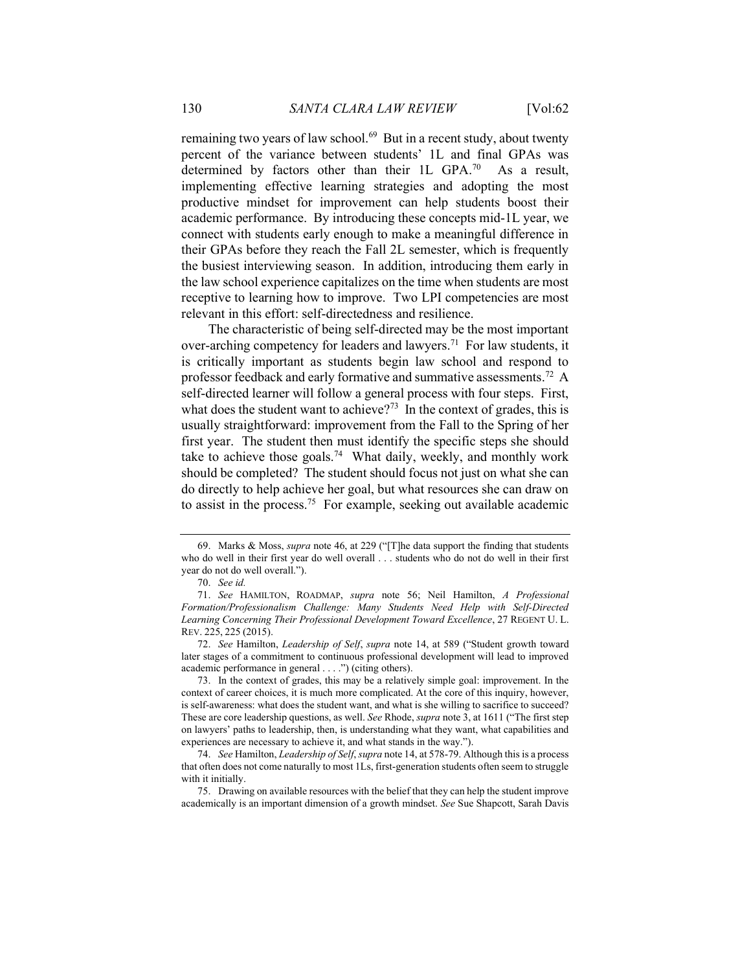remaining two years of law school.<sup>69</sup> But in a recent study, about twenty percent of the variance between students' 1L and final GPAs was determined by factors other than their 1L GPA.<sup>70</sup> As a result, implementing effective learning strategies and adopting the most productive mindset for improvement can help students boost their academic performance. By introducing these concepts mid-1L year, we connect with students early enough to make a meaningful difference in their GPAs before they reach the Fall 2L semester, which is frequently the busiest interviewing season. In addition, introducing them early in the law school experience capitalizes on the time when students are most receptive to learning how to improve. Two LPI competencies are most relevant in this effort: self-directedness and resilience.

The characteristic of being self-directed may be the most important over-arching competency for leaders and lawyers.<sup>71</sup> For law students, it is critically important as students begin law school and respond to professor feedback and early formative and summative assessments.<sup>72</sup> A self-directed learner will follow a general process with four steps. First, what does the student want to achieve?<sup>73</sup> In the context of grades, this is usually straightforward: improvement from the Fall to the Spring of her first year. The student then must identify the specific steps she should take to achieve those goals.<sup>74</sup> What daily, weekly, and monthly work should be completed? The student should focus not just on what she can do directly to help achieve her goal, but what resources she can draw on to assist in the process.<sup>75</sup> For example, seeking out available academic

 <sup>69.</sup> Marks & Moss, supra note 46, at 229 ("[T]he data support the finding that students who do well in their first year do well overall . . . students who do not do well in their first year do not do well overall.").

<sup>70.</sup> See id.

<sup>71.</sup> See HAMILTON, ROADMAP, supra note 56; Neil Hamilton, A Professional Formation/Professionalism Challenge: Many Students Need Help with Self-Directed Learning Concerning Their Professional Development Toward Excellence, 27 REGENT U. L. REV. 225, 225 (2015).

<sup>72.</sup> See Hamilton, Leadership of Self, supra note 14, at 589 ("Student growth toward later stages of a commitment to continuous professional development will lead to improved academic performance in general . . . .") (citing others).

 <sup>73.</sup> In the context of grades, this may be a relatively simple goal: improvement. In the context of career choices, it is much more complicated. At the core of this inquiry, however, is self-awareness: what does the student want, and what is she willing to sacrifice to succeed? These are core leadership questions, as well. See Rhode, *supra* note 3, at 1611 ("The first step on lawyers' paths to leadership, then, is understanding what they want, what capabilities and experiences are necessary to achieve it, and what stands in the way.").

<sup>74.</sup> See Hamilton, *Leadership of Self, supra* note 14, at 578-79. Although this is a process that often does not come naturally to most 1Ls, first-generation students often seem to struggle with it initially.

 <sup>75.</sup> Drawing on available resources with the belief that they can help the student improve academically is an important dimension of a growth mindset. See Sue Shapcott, Sarah Davis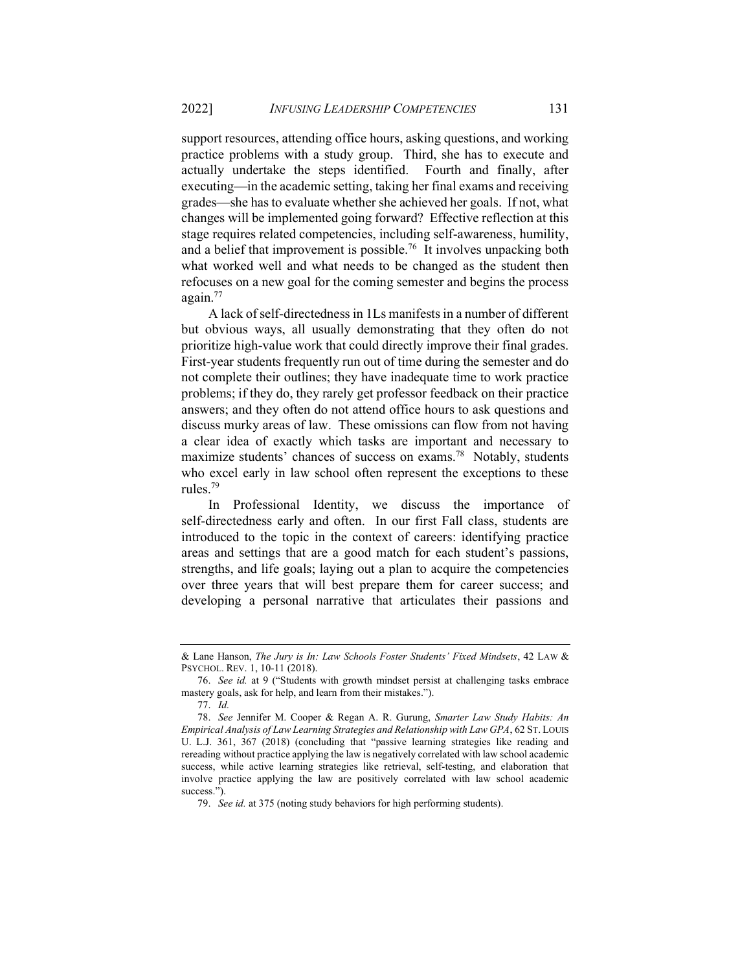support resources, attending office hours, asking questions, and working practice problems with a study group. Third, she has to execute and actually undertake the steps identified. Fourth and finally, after executing—in the academic setting, taking her final exams and receiving grades—she has to evaluate whether she achieved her goals. If not, what changes will be implemented going forward? Effective reflection at this stage requires related competencies, including self-awareness, humility, and a belief that improvement is possible.<sup>76</sup> It involves unpacking both what worked well and what needs to be changed as the student then refocuses on a new goal for the coming semester and begins the process again.<sup>77</sup>

A lack of self-directedness in 1Ls manifests in a number of different but obvious ways, all usually demonstrating that they often do not prioritize high-value work that could directly improve their final grades. First-year students frequently run out of time during the semester and do not complete their outlines; they have inadequate time to work practice problems; if they do, they rarely get professor feedback on their practice answers; and they often do not attend office hours to ask questions and discuss murky areas of law. These omissions can flow from not having a clear idea of exactly which tasks are important and necessary to maximize students' chances of success on exams.<sup>78</sup> Notably, students who excel early in law school often represent the exceptions to these rules.<sup>79</sup>

In Professional Identity, we discuss the importance of self-directedness early and often. In our first Fall class, students are introduced to the topic in the context of careers: identifying practice areas and settings that are a good match for each student's passions, strengths, and life goals; laying out a plan to acquire the competencies over three years that will best prepare them for career success; and developing a personal narrative that articulates their passions and

<sup>&</sup>amp; Lane Hanson, The Jury is In: Law Schools Foster Students' Fixed Mindsets, 42 LAW & PSYCHOL. REV. 1, 10-11 (2018).

<sup>76.</sup> See id. at 9 ("Students with growth mindset persist at challenging tasks embrace mastery goals, ask for help, and learn from their mistakes.").

<sup>77.</sup> Id.

<sup>78.</sup> See Jennifer M. Cooper & Regan A. R. Gurung, Smarter Law Study Habits: An Empirical Analysis of Law Learning Strategies and Relationship with Law GPA, 62 ST. LOUIS U. L.J. 361, 367 (2018) (concluding that "passive learning strategies like reading and rereading without practice applying the law is negatively correlated with law school academic success, while active learning strategies like retrieval, self-testing, and elaboration that involve practice applying the law are positively correlated with law school academic success.").

<sup>79.</sup> See id. at 375 (noting study behaviors for high performing students).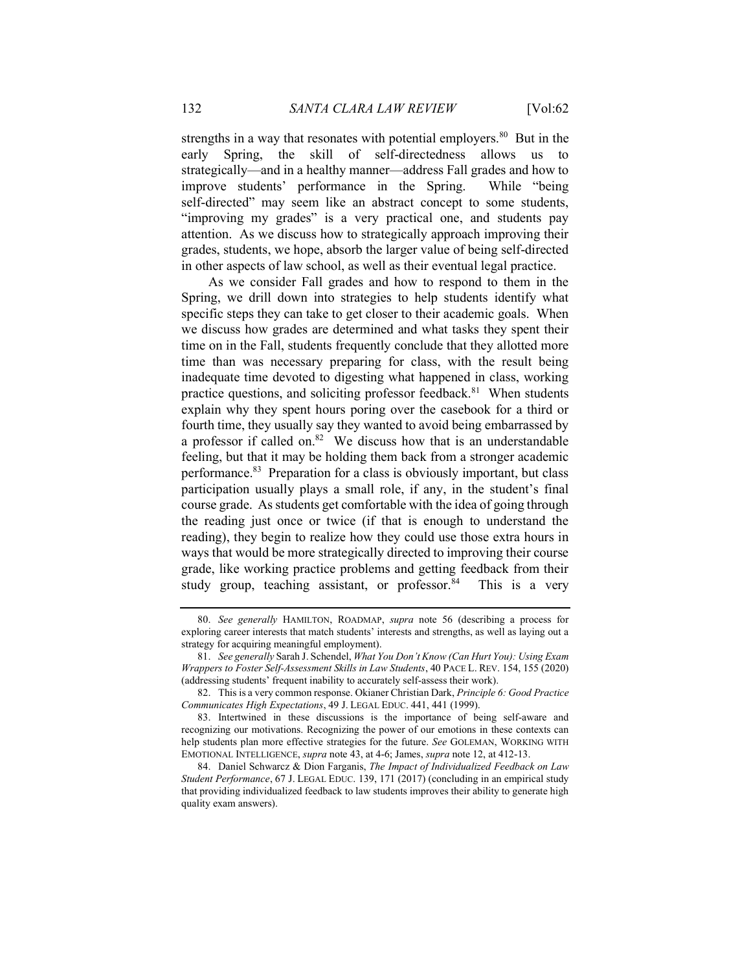strengths in a way that resonates with potential employers.<sup>80</sup> But in the early Spring, the skill of self-directedness allows us to strategically—and in a healthy manner—address Fall grades and how to improve students' performance in the Spring. While "being self-directed" may seem like an abstract concept to some students, "improving my grades" is a very practical one, and students pay attention. As we discuss how to strategically approach improving their grades, students, we hope, absorb the larger value of being self-directed in other aspects of law school, as well as their eventual legal practice.

As we consider Fall grades and how to respond to them in the Spring, we drill down into strategies to help students identify what specific steps they can take to get closer to their academic goals. When we discuss how grades are determined and what tasks they spent their time on in the Fall, students frequently conclude that they allotted more time than was necessary preparing for class, with the result being inadequate time devoted to digesting what happened in class, working practice questions, and soliciting professor feedback.<sup>81</sup> When students explain why they spent hours poring over the casebook for a third or fourth time, they usually say they wanted to avoid being embarrassed by a professor if called on. $82$  We discuss how that is an understandable feeling, but that it may be holding them back from a stronger academic performance.<sup>83</sup> Preparation for a class is obviously important, but class participation usually plays a small role, if any, in the student's final course grade. As students get comfortable with the idea of going through the reading just once or twice (if that is enough to understand the reading), they begin to realize how they could use those extra hours in ways that would be more strategically directed to improving their course grade, like working practice problems and getting feedback from their study group, teaching assistant, or professor.<sup>84</sup> This is a very

<sup>80.</sup> See generally HAMILTON, ROADMAP, supra note 56 (describing a process for exploring career interests that match students' interests and strengths, as well as laying out a strategy for acquiring meaningful employment).

<sup>81.</sup> See generally Sarah J. Schendel, What You Don't Know (Can Hurt You): Using Exam Wrappers to Foster Self-Assessment Skills in Law Students, 40 PACE L. REV. 154, 155 (2020) (addressing students' frequent inability to accurately self-assess their work).

 <sup>82.</sup> This is a very common response. Okianer Christian Dark, Principle 6: Good Practice Communicates High Expectations, 49 J. LEGAL EDUC. 441, 441 (1999).

 <sup>83.</sup> Intertwined in these discussions is the importance of being self-aware and recognizing our motivations. Recognizing the power of our emotions in these contexts can help students plan more effective strategies for the future. See GOLEMAN, WORKING WITH EMOTIONAL INTELLIGENCE, supra note 43, at 4-6; James, supra note 12, at 412-13.

<sup>84.</sup> Daniel Schwarcz & Dion Farganis, The Impact of Individualized Feedback on Law Student Performance, 67 J. LEGAL EDUC. 139, 171 (2017) (concluding in an empirical study that providing individualized feedback to law students improves their ability to generate high quality exam answers).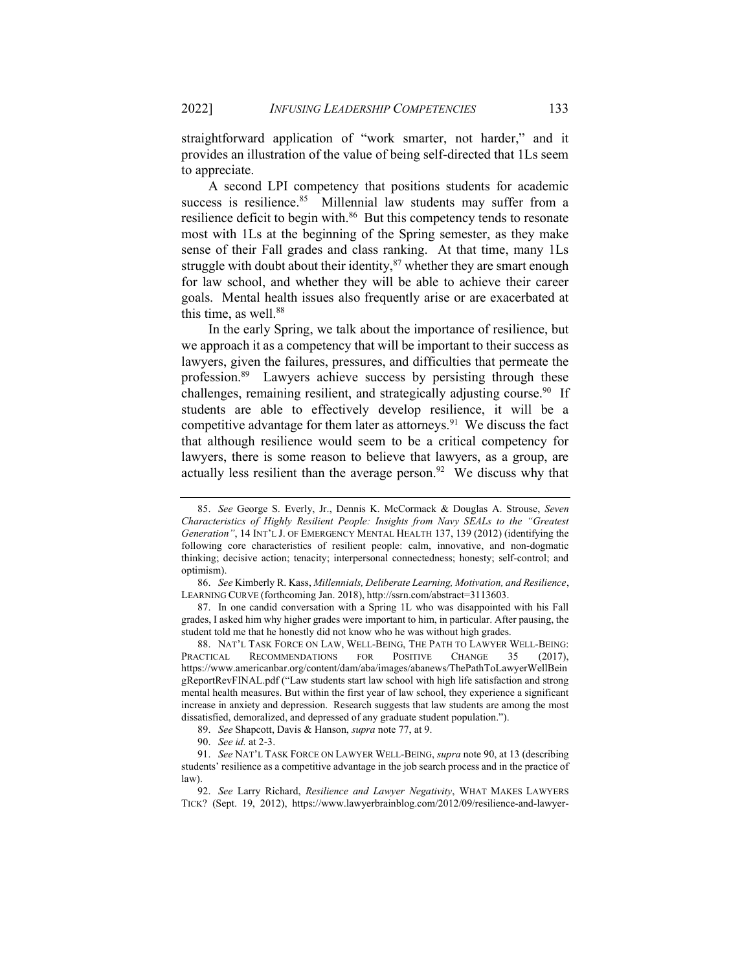straightforward application of "work smarter, not harder," and it provides an illustration of the value of being self-directed that 1Ls seem to appreciate.

A second LPI competency that positions students for academic success is resilience.<sup>85</sup> Millennial law students may suffer from a resilience deficit to begin with.<sup>86</sup> But this competency tends to resonate most with 1Ls at the beginning of the Spring semester, as they make sense of their Fall grades and class ranking. At that time, many 1Ls struggle with doubt about their identity, $87$  whether they are smart enough for law school, and whether they will be able to achieve their career goals. Mental health issues also frequently arise or are exacerbated at this time, as well. $88$ 

In the early Spring, we talk about the importance of resilience, but we approach it as a competency that will be important to their success as lawyers, given the failures, pressures, and difficulties that permeate the profession.<sup>89</sup> Lawyers achieve success by persisting through these challenges, remaining resilient, and strategically adjusting course.<sup>90</sup> If students are able to effectively develop resilience, it will be a competitive advantage for them later as attorneys.<sup>91</sup> We discuss the fact that although resilience would seem to be a critical competency for lawyers, there is some reason to believe that lawyers, as a group, are actually less resilient than the average person.<sup>92</sup> We discuss why that

<sup>85.</sup> See George S. Everly, Jr., Dennis K. McCormack & Douglas A. Strouse, Seven Characteristics of Highly Resilient People: Insights from Navy SEALs to the "Greatest Generation", 14 INT'L J. OF EMERGENCY MENTAL HEALTH 137, 139 (2012) (identifying the following core characteristics of resilient people: calm, innovative, and non-dogmatic thinking; decisive action; tenacity; interpersonal connectedness; honesty; self-control; and optimism).

<sup>86.</sup> See Kimberly R. Kass, Millennials, Deliberate Learning, Motivation, and Resilience, LEARNING CURVE (forthcoming Jan. 2018), http://ssrn.com/abstract=3113603.

 <sup>87.</sup> In one candid conversation with a Spring 1L who was disappointed with his Fall grades, I asked him why higher grades were important to him, in particular. After pausing, the student told me that he honestly did not know who he was without high grades.

 <sup>88.</sup> NAT'L TASK FORCE ON LAW, WELL-BEING, THE PATH TO LAWYER WELL-BEING: PRACTICAL RECOMMENDATIONS FOR POSITIVE CHANGE 35 (2017), https://www.americanbar.org/content/dam/aba/images/abanews/ThePathToLawyerWellBein gReportRevFINAL.pdf ("Law students start law school with high life satisfaction and strong mental health measures. But within the first year of law school, they experience a significant increase in anxiety and depression. Research suggests that law students are among the most dissatisfied, demoralized, and depressed of any graduate student population.").

<sup>89.</sup> See Shapcott, Davis & Hanson, supra note 77, at 9.

<sup>90.</sup> See id. at 2-3.

<sup>91.</sup> See NAT'L TASK FORCE ON LAWYER WELL-BEING, supra note 90, at 13 (describing students' resilience as a competitive advantage in the job search process and in the practice of law).

<sup>92.</sup> See Larry Richard, Resilience and Lawyer Negativity, WHAT MAKES LAWYERS TICK? (Sept. 19, 2012), https://www.lawyerbrainblog.com/2012/09/resilience-and-lawyer-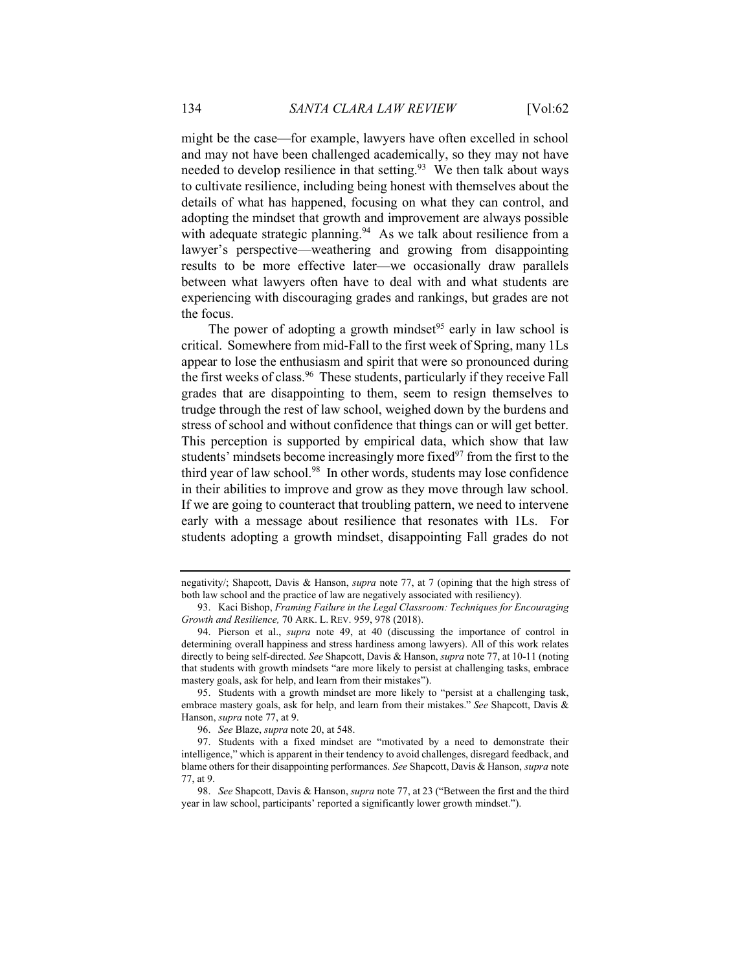might be the case—for example, lawyers have often excelled in school and may not have been challenged academically, so they may not have needed to develop resilience in that setting. $93$  We then talk about ways to cultivate resilience, including being honest with themselves about the details of what has happened, focusing on what they can control, and adopting the mindset that growth and improvement are always possible with adequate strategic planning. $94$  As we talk about resilience from a lawyer's perspective—weathering and growing from disappointing results to be more effective later—we occasionally draw parallels between what lawyers often have to deal with and what students are experiencing with discouraging grades and rankings, but grades are not the focus.

The power of adopting a growth mindset<sup>95</sup> early in law school is critical. Somewhere from mid-Fall to the first week of Spring, many 1Ls appear to lose the enthusiasm and spirit that were so pronounced during the first weeks of class.<sup>96</sup> These students, particularly if they receive Fall grades that are disappointing to them, seem to resign themselves to trudge through the rest of law school, weighed down by the burdens and stress of school and without confidence that things can or will get better. This perception is supported by empirical data, which show that law students' mindsets become increasingly more fixed $97$  from the first to the third year of law school.<sup>98</sup> In other words, students may lose confidence in their abilities to improve and grow as they move through law school. If we are going to counteract that troubling pattern, we need to intervene early with a message about resilience that resonates with 1Ls. For students adopting a growth mindset, disappointing Fall grades do not

negativity/; Shapcott, Davis & Hanson, supra note 77, at 7 (opining that the high stress of both law school and the practice of law are negatively associated with resiliency).

 <sup>93.</sup> Kaci Bishop, Framing Failure in the Legal Classroom: Techniques for Encouraging Growth and Resilience, 70 ARK. L. REV. 959, 978 (2018).

 <sup>94.</sup> Pierson et al., supra note 49, at 40 (discussing the importance of control in determining overall happiness and stress hardiness among lawyers). All of this work relates directly to being self-directed. See Shapcott, Davis & Hanson, *supra* note 77, at 10-11 (noting that students with growth mindsets "are more likely to persist at challenging tasks, embrace mastery goals, ask for help, and learn from their mistakes").

 <sup>95.</sup> Students with a growth mindset are more likely to "persist at a challenging task, embrace mastery goals, ask for help, and learn from their mistakes." See Shapcott, Davis & Hanson, supra note 77, at 9.

<sup>96.</sup> See Blaze, supra note 20, at 548.

 <sup>97.</sup> Students with a fixed mindset are "motivated by a need to demonstrate their intelligence," which is apparent in their tendency to avoid challenges, disregard feedback, and blame others for their disappointing performances. See Shapcott, Davis & Hanson, supra note 77, at 9.

<sup>98.</sup> See Shapcott, Davis & Hanson, *supra* note 77, at 23 ("Between the first and the third year in law school, participants' reported a significantly lower growth mindset.").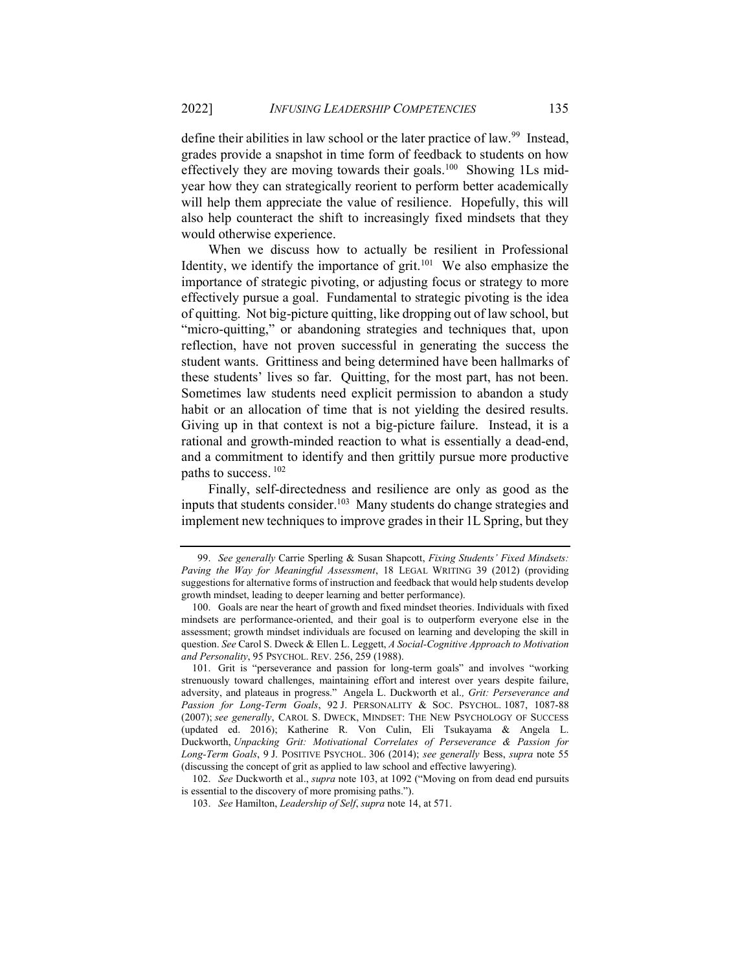define their abilities in law school or the later practice of law.<sup>99</sup> Instead, grades provide a snapshot in time form of feedback to students on how effectively they are moving towards their goals.<sup>100</sup> Showing 1Ls midyear how they can strategically reorient to perform better academically will help them appreciate the value of resilience. Hopefully, this will also help counteract the shift to increasingly fixed mindsets that they would otherwise experience.

When we discuss how to actually be resilient in Professional Identity, we identify the importance of  $grit$ .<sup>101</sup> We also emphasize the importance of strategic pivoting, or adjusting focus or strategy to more effectively pursue a goal. Fundamental to strategic pivoting is the idea of quitting. Not big-picture quitting, like dropping out of law school, but "micro-quitting," or abandoning strategies and techniques that, upon reflection, have not proven successful in generating the success the student wants. Grittiness and being determined have been hallmarks of these students' lives so far. Quitting, for the most part, has not been. Sometimes law students need explicit permission to abandon a study habit or an allocation of time that is not yielding the desired results. Giving up in that context is not a big-picture failure. Instead, it is a rational and growth-minded reaction to what is essentially a dead-end, and a commitment to identify and then grittily pursue more productive paths to success.<sup>102</sup>

Finally, self-directedness and resilience are only as good as the inputs that students consider.<sup>103</sup> Many students do change strategies and implement new techniques to improve grades in their 1L Spring, but they

102. See Duckworth et al., supra note 103, at 1092 ("Moving on from dead end pursuits is essential to the discovery of more promising paths.").

<sup>99.</sup> See generally Carrie Sperling & Susan Shapcott, Fixing Students' Fixed Mindsets: Paving the Way for Meaningful Assessment, 18 LEGAL WRITING 39 (2012) (providing suggestions for alternative forms of instruction and feedback that would help students develop growth mindset, leading to deeper learning and better performance).

 <sup>100.</sup> Goals are near the heart of growth and fixed mindset theories. Individuals with fixed mindsets are performance-oriented, and their goal is to outperform everyone else in the assessment; growth mindset individuals are focused on learning and developing the skill in question. See Carol S. Dweck & Ellen L. Leggett, A Social-Cognitive Approach to Motivation and Personality, 95 PSYCHOL. REV. 256, 259 (1988).

 <sup>101.</sup> Grit is "perseverance and passion for long-term goals" and involves "working strenuously toward challenges, maintaining effort and interest over years despite failure, adversity, and plateaus in progress." Angela L. Duckworth et al., Grit: Perseverance and Passion for Long-Term Goals, 92 J. PERSONALITY & SOC. PSYCHOL. 1087, 1087-88 (2007); see generally, CAROL S. DWECK, MINDSET: THE NEW PSYCHOLOGY OF SUCCESS (updated ed. 2016); Katherine R. Von Culin, Eli Tsukayama & Angela L. Duckworth, Unpacking Grit: Motivational Correlates of Perseverance & Passion for Long-Term Goals, 9 J. POSITIVE PSYCHOL. 306 (2014); see generally Bess, supra note 55 (discussing the concept of grit as applied to law school and effective lawyering).

<sup>103.</sup> See Hamilton, Leadership of Self, supra note 14, at 571.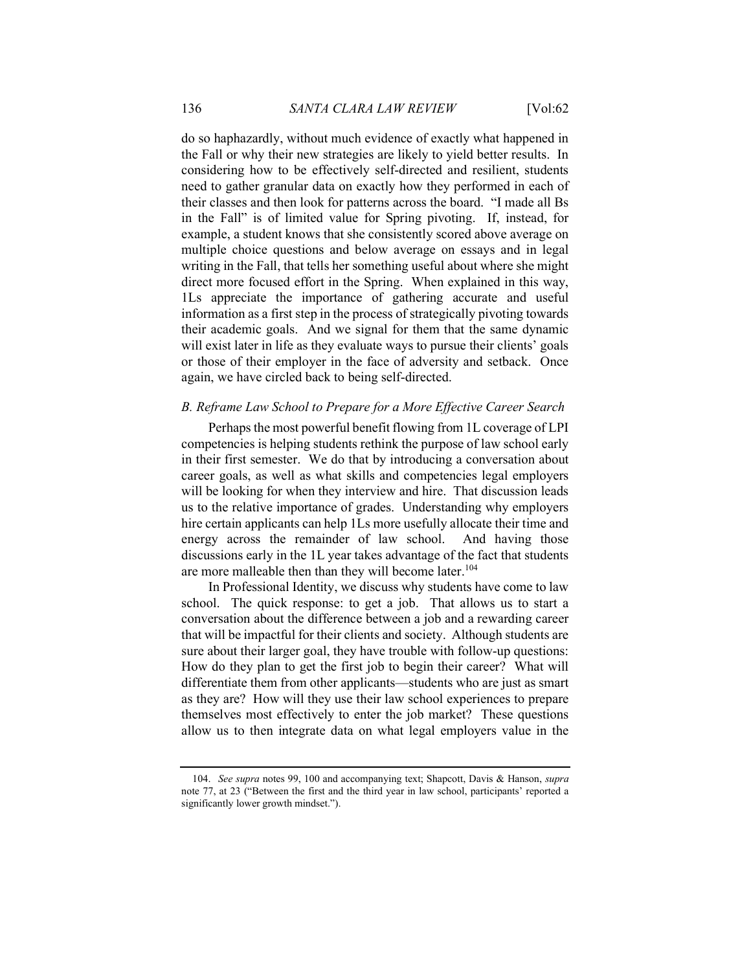do so haphazardly, without much evidence of exactly what happened in the Fall or why their new strategies are likely to yield better results. In considering how to be effectively self-directed and resilient, students need to gather granular data on exactly how they performed in each of their classes and then look for patterns across the board. "I made all Bs in the Fall" is of limited value for Spring pivoting. If, instead, for example, a student knows that she consistently scored above average on multiple choice questions and below average on essays and in legal writing in the Fall, that tells her something useful about where she might direct more focused effort in the Spring. When explained in this way, 1Ls appreciate the importance of gathering accurate and useful information as a first step in the process of strategically pivoting towards their academic goals. And we signal for them that the same dynamic will exist later in life as they evaluate ways to pursue their clients' goals or those of their employer in the face of adversity and setback. Once again, we have circled back to being self-directed.

#### B. Reframe Law School to Prepare for a More Effective Career Search

Perhaps the most powerful benefit flowing from 1L coverage of LPI competencies is helping students rethink the purpose of law school early in their first semester. We do that by introducing a conversation about career goals, as well as what skills and competencies legal employers will be looking for when they interview and hire. That discussion leads us to the relative importance of grades. Understanding why employers hire certain applicants can help 1Ls more usefully allocate their time and energy across the remainder of law school. And having those discussions early in the 1L year takes advantage of the fact that students are more malleable then than they will become later.<sup>104</sup>

In Professional Identity, we discuss why students have come to law school. The quick response: to get a job. That allows us to start a conversation about the difference between a job and a rewarding career that will be impactful for their clients and society. Although students are sure about their larger goal, they have trouble with follow-up questions: How do they plan to get the first job to begin their career? What will differentiate them from other applicants—students who are just as smart as they are? How will they use their law school experiences to prepare themselves most effectively to enter the job market? These questions allow us to then integrate data on what legal employers value in the

<sup>104.</sup> See supra notes 99, 100 and accompanying text; Shapcott, Davis & Hanson, supra note 77, at 23 ("Between the first and the third year in law school, participants' reported a significantly lower growth mindset.").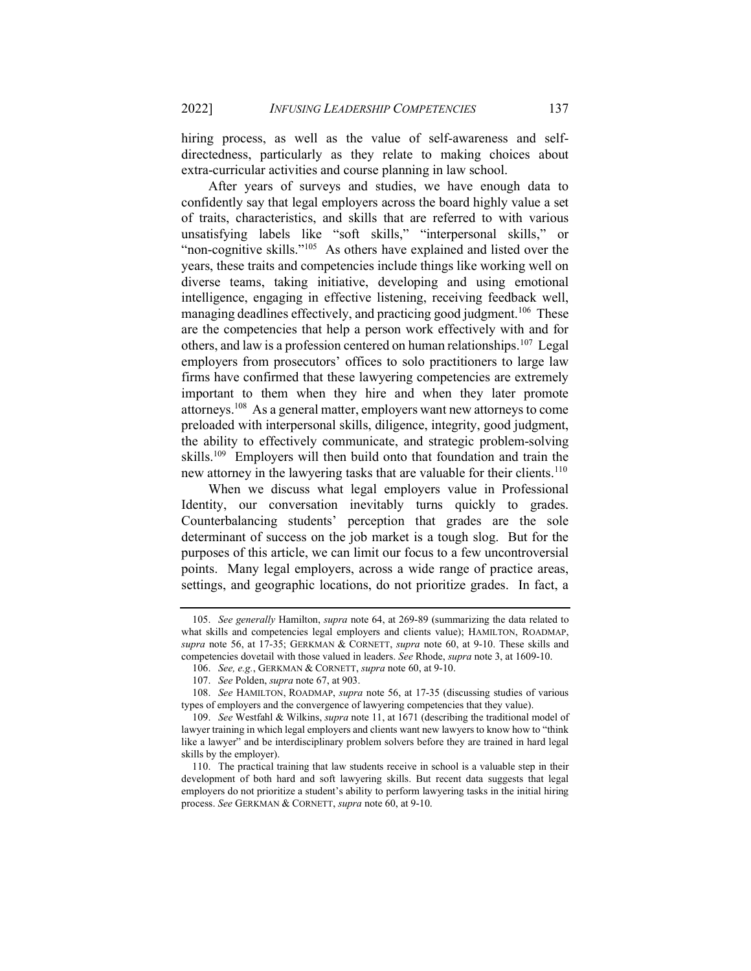hiring process, as well as the value of self-awareness and selfdirectedness, particularly as they relate to making choices about extra-curricular activities and course planning in law school.

After years of surveys and studies, we have enough data to confidently say that legal employers across the board highly value a set of traits, characteristics, and skills that are referred to with various unsatisfying labels like "soft skills," "interpersonal skills," or "non-cognitive skills."<sup>105</sup> As others have explained and listed over the years, these traits and competencies include things like working well on diverse teams, taking initiative, developing and using emotional intelligence, engaging in effective listening, receiving feedback well, managing deadlines effectively, and practicing good judgment.<sup>106</sup> These are the competencies that help a person work effectively with and for others, and law is a profession centered on human relationships.<sup>107</sup> Legal employers from prosecutors' offices to solo practitioners to large law firms have confirmed that these lawyering competencies are extremely important to them when they hire and when they later promote attorneys.<sup>108</sup> As a general matter, employers want new attorneys to come preloaded with interpersonal skills, diligence, integrity, good judgment, the ability to effectively communicate, and strategic problem-solving skills.<sup>109</sup> Employers will then build onto that foundation and train the new attorney in the lawyering tasks that are valuable for their clients.<sup>110</sup>

When we discuss what legal employers value in Professional Identity, our conversation inevitably turns quickly to grades. Counterbalancing students' perception that grades are the sole determinant of success on the job market is a tough slog. But for the purposes of this article, we can limit our focus to a few uncontroversial points. Many legal employers, across a wide range of practice areas, settings, and geographic locations, do not prioritize grades. In fact, a

<sup>105.</sup> See generally Hamilton, supra note 64, at 269-89 (summarizing the data related to what skills and competencies legal employers and clients value); HAMILTON, ROADMAP, supra note 56, at 17-35; GERKMAN & CORNETT, supra note 60, at 9-10. These skills and competencies dovetail with those valued in leaders. See Rhode, supra note 3, at 1609-10.

<sup>106.</sup> See, e.g., GERKMAN & CORNETT, supra note 60, at 9-10.

<sup>107.</sup> See Polden, supra note 67, at 903.

<sup>108.</sup> See HAMILTON, ROADMAP, supra note 56, at 17-35 (discussing studies of various types of employers and the convergence of lawyering competencies that they value).

<sup>109.</sup> See Westfahl & Wilkins, supra note 11, at 1671 (describing the traditional model of lawyer training in which legal employers and clients want new lawyers to know how to "think like a lawyer" and be interdisciplinary problem solvers before they are trained in hard legal skills by the employer).

 <sup>110.</sup> The practical training that law students receive in school is a valuable step in their development of both hard and soft lawyering skills. But recent data suggests that legal employers do not prioritize a student's ability to perform lawyering tasks in the initial hiring process. See GERKMAN & CORNETT, supra note 60, at 9-10.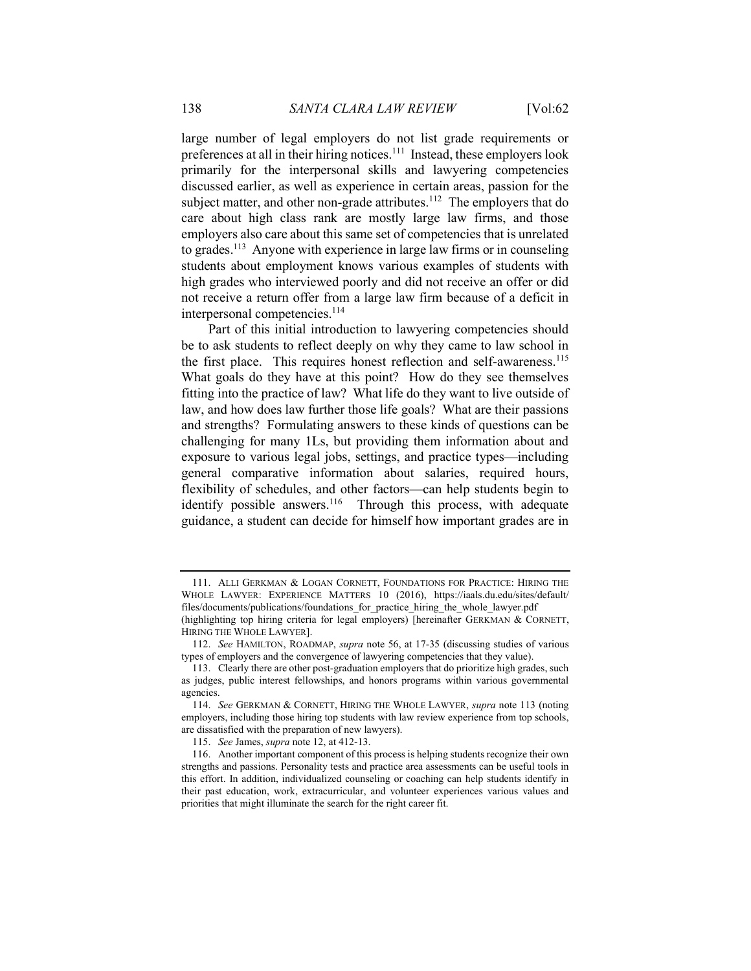large number of legal employers do not list grade requirements or preferences at all in their hiring notices.<sup>111</sup> Instead, these employers look primarily for the interpersonal skills and lawyering competencies discussed earlier, as well as experience in certain areas, passion for the subject matter, and other non-grade attributes.<sup>112</sup> The employers that do care about high class rank are mostly large law firms, and those employers also care about this same set of competencies that is unrelated to grades.<sup>113</sup> Anyone with experience in large law firms or in counseling students about employment knows various examples of students with high grades who interviewed poorly and did not receive an offer or did not receive a return offer from a large law firm because of a deficit in interpersonal competencies.<sup>114</sup>

Part of this initial introduction to lawyering competencies should be to ask students to reflect deeply on why they came to law school in the first place. This requires honest reflection and self-awareness.<sup>115</sup> What goals do they have at this point? How do they see themselves fitting into the practice of law? What life do they want to live outside of law, and how does law further those life goals? What are their passions and strengths? Formulating answers to these kinds of questions can be challenging for many 1Ls, but providing them information about and exposure to various legal jobs, settings, and practice types—including general comparative information about salaries, required hours, flexibility of schedules, and other factors—can help students begin to identify possible answers.<sup>116</sup> Through this process, with adequate guidance, a student can decide for himself how important grades are in

 <sup>111.</sup> ALLI GERKMAN & LOGAN CORNETT, FOUNDATIONS FOR PRACTICE: HIRING THE WHOLE LAWYER: EXPERIENCE MATTERS 10 (2016), https://iaals.du.edu/sites/default/ files/documents/publications/foundations for practice hiring the whole lawyer.pdf

<sup>(</sup>highlighting top hiring criteria for legal employers) [hereinafter GERKMAN & CORNETT, HIRING THE WHOLE LAWYER].

<sup>112.</sup> See HAMILTON, ROADMAP, supra note 56, at 17-35 (discussing studies of various types of employers and the convergence of lawyering competencies that they value).

 <sup>113.</sup> Clearly there are other post-graduation employers that do prioritize high grades, such as judges, public interest fellowships, and honors programs within various governmental agencies.

<sup>114.</sup> See GERKMAN & CORNETT, HIRING THE WHOLE LAWYER, supra note 113 (noting employers, including those hiring top students with law review experience from top schools, are dissatisfied with the preparation of new lawyers).

<sup>115.</sup> See James, supra note 12, at 412-13.

 <sup>116.</sup> Another important component of this process is helping students recognize their own strengths and passions. Personality tests and practice area assessments can be useful tools in this effort. In addition, individualized counseling or coaching can help students identify in their past education, work, extracurricular, and volunteer experiences various values and priorities that might illuminate the search for the right career fit.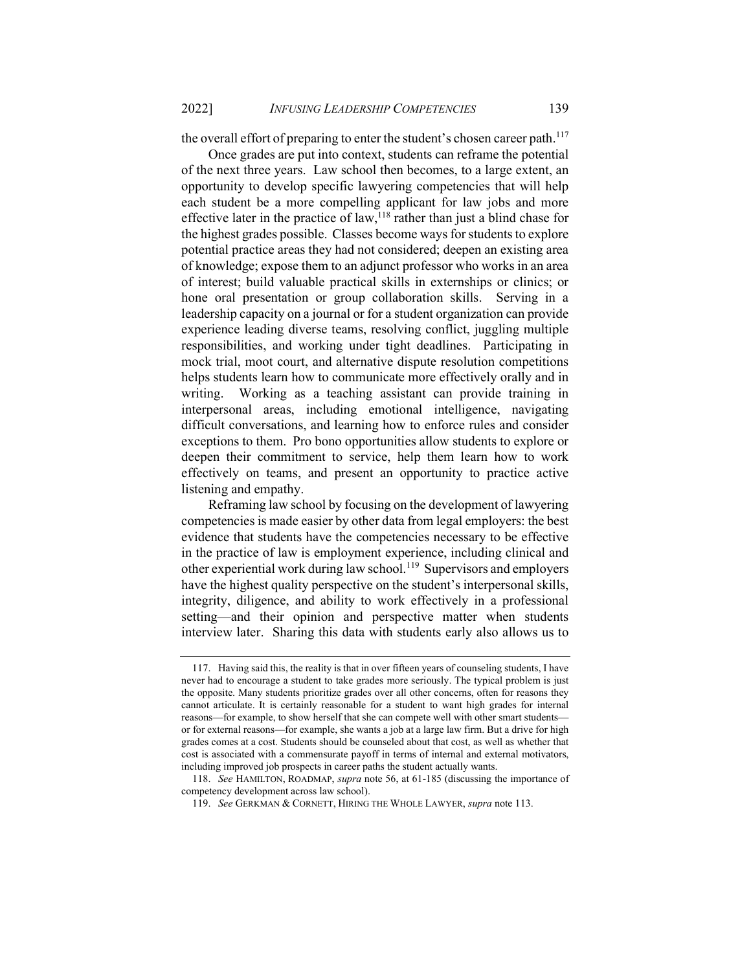the overall effort of preparing to enter the student's chosen career path.<sup>117</sup>

Once grades are put into context, students can reframe the potential of the next three years. Law school then becomes, to a large extent, an opportunity to develop specific lawyering competencies that will help each student be a more compelling applicant for law jobs and more effective later in the practice of law,  $118$  rather than just a blind chase for the highest grades possible. Classes become ways for students to explore potential practice areas they had not considered; deepen an existing area of knowledge; expose them to an adjunct professor who works in an area of interest; build valuable practical skills in externships or clinics; or hone oral presentation or group collaboration skills. Serving in a leadership capacity on a journal or for a student organization can provide experience leading diverse teams, resolving conflict, juggling multiple responsibilities, and working under tight deadlines. Participating in mock trial, moot court, and alternative dispute resolution competitions helps students learn how to communicate more effectively orally and in writing. Working as a teaching assistant can provide training in interpersonal areas, including emotional intelligence, navigating difficult conversations, and learning how to enforce rules and consider exceptions to them. Pro bono opportunities allow students to explore or deepen their commitment to service, help them learn how to work effectively on teams, and present an opportunity to practice active listening and empathy.

Reframing law school by focusing on the development of lawyering competencies is made easier by other data from legal employers: the best evidence that students have the competencies necessary to be effective in the practice of law is employment experience, including clinical and other experiential work during law school.<sup>119</sup> Supervisors and employers have the highest quality perspective on the student's interpersonal skills, integrity, diligence, and ability to work effectively in a professional setting—and their opinion and perspective matter when students interview later. Sharing this data with students early also allows us to

 <sup>117.</sup> Having said this, the reality is that in over fifteen years of counseling students, I have never had to encourage a student to take grades more seriously. The typical problem is just the opposite. Many students prioritize grades over all other concerns, often for reasons they cannot articulate. It is certainly reasonable for a student to want high grades for internal reasons—for example, to show herself that she can compete well with other smart students or for external reasons—for example, she wants a job at a large law firm. But a drive for high grades comes at a cost. Students should be counseled about that cost, as well as whether that cost is associated with a commensurate payoff in terms of internal and external motivators, including improved job prospects in career paths the student actually wants.

<sup>118.</sup> See HAMILTON, ROADMAP, supra note 56, at 61-185 (discussing the importance of competency development across law school).

<sup>119.</sup> See GERKMAN & CORNETT, HIRING THE WHOLE LAWYER, supra note 113.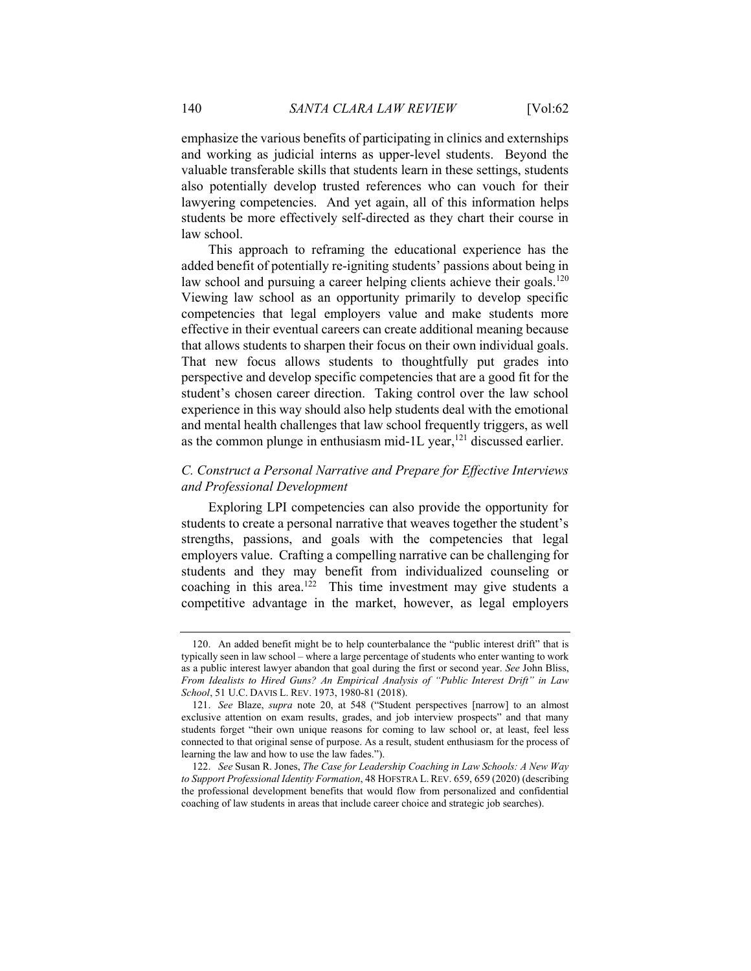emphasize the various benefits of participating in clinics and externships and working as judicial interns as upper-level students. Beyond the valuable transferable skills that students learn in these settings, students also potentially develop trusted references who can vouch for their lawyering competencies. And yet again, all of this information helps students be more effectively self-directed as they chart their course in law school.

This approach to reframing the educational experience has the added benefit of potentially re-igniting students' passions about being in law school and pursuing a career helping clients achieve their goals.<sup>120</sup> Viewing law school as an opportunity primarily to develop specific competencies that legal employers value and make students more effective in their eventual careers can create additional meaning because that allows students to sharpen their focus on their own individual goals. That new focus allows students to thoughtfully put grades into perspective and develop specific competencies that are a good fit for the student's chosen career direction. Taking control over the law school experience in this way should also help students deal with the emotional and mental health challenges that law school frequently triggers, as well as the common plunge in enthusiasm mid-1L year, $^{121}$  discussed earlier.

# C. Construct a Personal Narrative and Prepare for Effective Interviews and Professional Development

Exploring LPI competencies can also provide the opportunity for students to create a personal narrative that weaves together the student's strengths, passions, and goals with the competencies that legal employers value. Crafting a compelling narrative can be challenging for students and they may benefit from individualized counseling or coaching in this area.<sup>122</sup> This time investment may give students a competitive advantage in the market, however, as legal employers

 <sup>120.</sup> An added benefit might be to help counterbalance the "public interest drift" that is typically seen in law school – where a large percentage of students who enter wanting to work as a public interest lawyer abandon that goal during the first or second year. See John Bliss, From Idealists to Hired Guns? An Empirical Analysis of "Public Interest Drift" in Law School, 51 U.C. DAVIS L. REV. 1973, 1980-81 (2018).

<sup>121.</sup> See Blaze, supra note 20, at 548 ("Student perspectives [narrow] to an almost exclusive attention on exam results, grades, and job interview prospects" and that many students forget "their own unique reasons for coming to law school or, at least, feel less connected to that original sense of purpose. As a result, student enthusiasm for the process of learning the law and how to use the law fades.").

<sup>122.</sup> See Susan R. Jones, The Case for Leadership Coaching in Law Schools: A New Way to Support Professional Identity Formation, 48 HOFSTRA L. REV. 659, 659 (2020) (describing the professional development benefits that would flow from personalized and confidential coaching of law students in areas that include career choice and strategic job searches).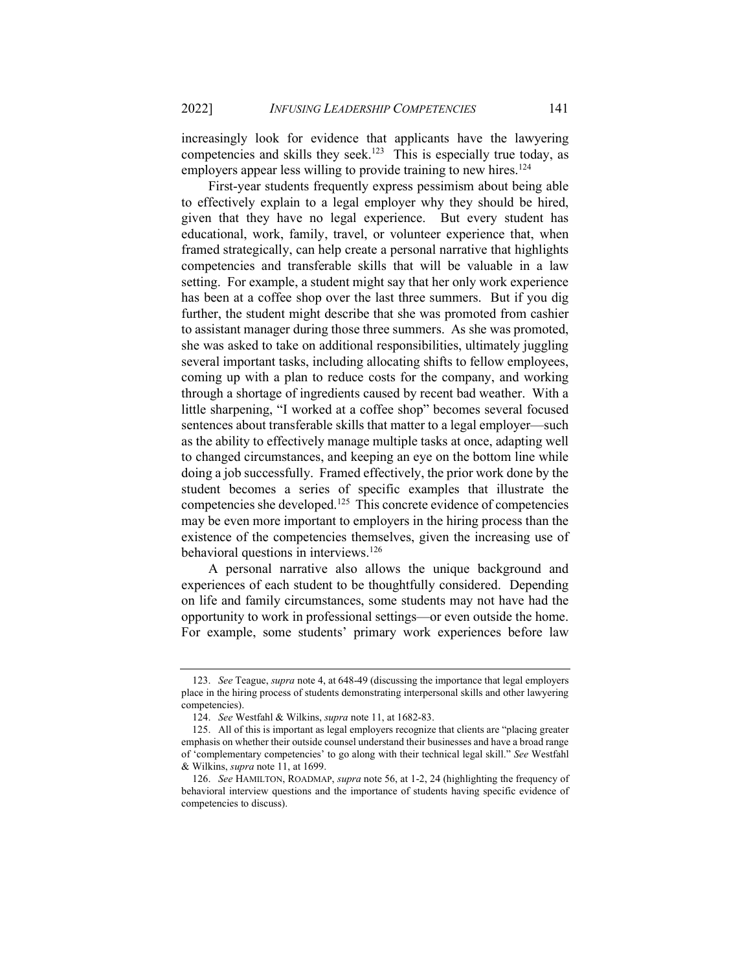increasingly look for evidence that applicants have the lawyering competencies and skills they seek.<sup>123</sup> This is especially true today, as employers appear less willing to provide training to new hires.<sup>124</sup>

First-year students frequently express pessimism about being able to effectively explain to a legal employer why they should be hired, given that they have no legal experience. But every student has educational, work, family, travel, or volunteer experience that, when framed strategically, can help create a personal narrative that highlights competencies and transferable skills that will be valuable in a law setting. For example, a student might say that her only work experience has been at a coffee shop over the last three summers. But if you dig further, the student might describe that she was promoted from cashier to assistant manager during those three summers. As she was promoted, she was asked to take on additional responsibilities, ultimately juggling several important tasks, including allocating shifts to fellow employees, coming up with a plan to reduce costs for the company, and working through a shortage of ingredients caused by recent bad weather. With a little sharpening, "I worked at a coffee shop" becomes several focused sentences about transferable skills that matter to a legal employer—such as the ability to effectively manage multiple tasks at once, adapting well to changed circumstances, and keeping an eye on the bottom line while doing a job successfully. Framed effectively, the prior work done by the student becomes a series of specific examples that illustrate the competencies she developed.<sup>125</sup> This concrete evidence of competencies may be even more important to employers in the hiring process than the existence of the competencies themselves, given the increasing use of behavioral questions in interviews.<sup>126</sup>

A personal narrative also allows the unique background and experiences of each student to be thoughtfully considered. Depending on life and family circumstances, some students may not have had the opportunity to work in professional settings—or even outside the home. For example, some students' primary work experiences before law

<sup>123.</sup> See Teague, supra note 4, at 648-49 (discussing the importance that legal employers place in the hiring process of students demonstrating interpersonal skills and other lawyering competencies).

<sup>124.</sup> See Westfahl & Wilkins, supra note 11, at 1682-83.

 <sup>125.</sup> All of this is important as legal employers recognize that clients are "placing greater emphasis on whether their outside counsel understand their businesses and have a broad range of 'complementary competencies' to go along with their technical legal skill." See Westfahl & Wilkins, supra note 11, at 1699.

<sup>126.</sup> See HAMILTON, ROADMAP, *supra* note 56, at 1-2, 24 (highlighting the frequency of behavioral interview questions and the importance of students having specific evidence of competencies to discuss).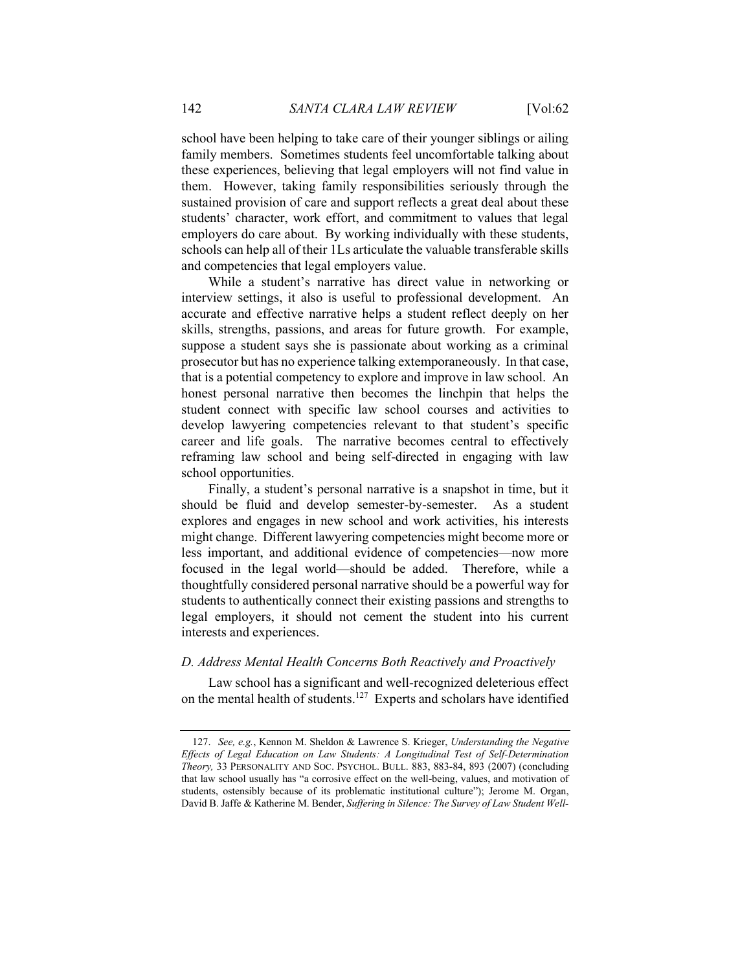school have been helping to take care of their younger siblings or ailing family members. Sometimes students feel uncomfortable talking about these experiences, believing that legal employers will not find value in them. However, taking family responsibilities seriously through the sustained provision of care and support reflects a great deal about these students' character, work effort, and commitment to values that legal employers do care about. By working individually with these students, schools can help all of their 1Ls articulate the valuable transferable skills and competencies that legal employers value.

While a student's narrative has direct value in networking or interview settings, it also is useful to professional development. An accurate and effective narrative helps a student reflect deeply on her skills, strengths, passions, and areas for future growth. For example, suppose a student says she is passionate about working as a criminal prosecutor but has no experience talking extemporaneously. In that case, that is a potential competency to explore and improve in law school. An honest personal narrative then becomes the linchpin that helps the student connect with specific law school courses and activities to develop lawyering competencies relevant to that student's specific career and life goals. The narrative becomes central to effectively reframing law school and being self-directed in engaging with law school opportunities.

Finally, a student's personal narrative is a snapshot in time, but it should be fluid and develop semester-by-semester. As a student explores and engages in new school and work activities, his interests might change. Different lawyering competencies might become more or less important, and additional evidence of competencies—now more focused in the legal world—should be added. Therefore, while a thoughtfully considered personal narrative should be a powerful way for students to authentically connect their existing passions and strengths to legal employers, it should not cement the student into his current interests and experiences.

## D. Address Mental Health Concerns Both Reactively and Proactively

Law school has a significant and well-recognized deleterious effect on the mental health of students.<sup>127</sup> Experts and scholars have identified

<sup>127.</sup> See, e.g., Kennon M. Sheldon & Lawrence S. Krieger, Understanding the Negative Effects of Legal Education on Law Students: A Longitudinal Test of Self-Determination Theory, 33 PERSONALITY AND SOC. PSYCHOL. BULL. 883, 883-84, 893 (2007) (concluding that law school usually has "a corrosive effect on the well-being, values, and motivation of students, ostensibly because of its problematic institutional culture"); Jerome M. Organ, David B. Jaffe & Katherine M. Bender, Suffering in Silence: The Survey of Law Student Well-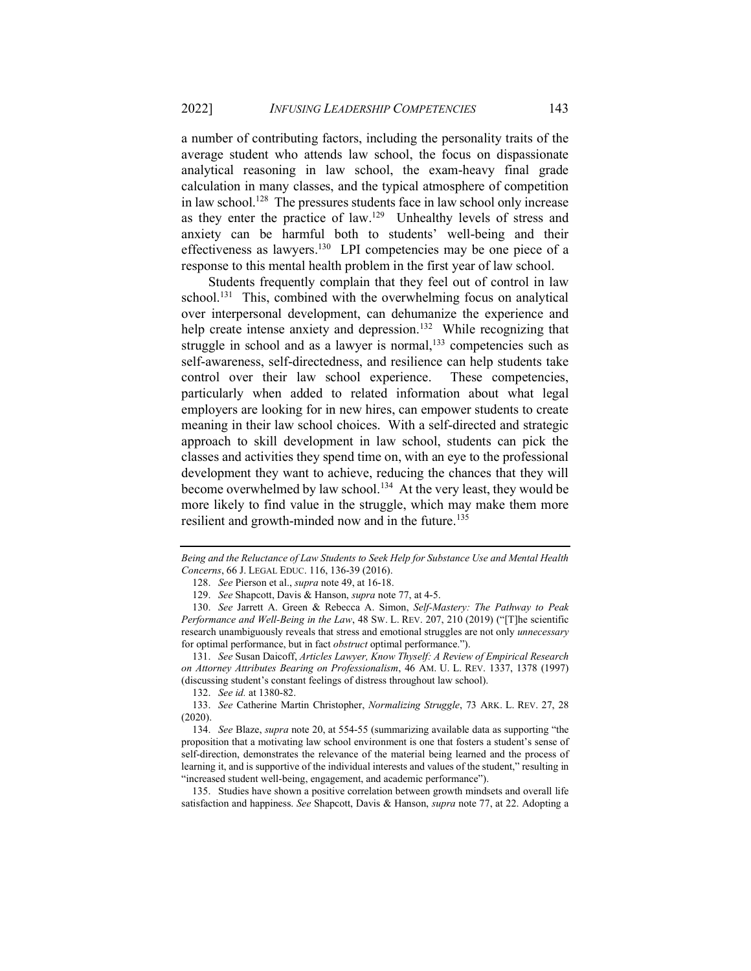a number of contributing factors, including the personality traits of the average student who attends law school, the focus on dispassionate analytical reasoning in law school, the exam-heavy final grade calculation in many classes, and the typical atmosphere of competition in law school.<sup>128</sup> The pressures students face in law school only increase as they enter the practice of law.<sup>129</sup> Unhealthy levels of stress and anxiety can be harmful both to students' well-being and their effectiveness as lawyers.<sup>130</sup> LPI competencies may be one piece of a response to this mental health problem in the first year of law school.

Students frequently complain that they feel out of control in law school.<sup>131</sup> This, combined with the overwhelming focus on analytical over interpersonal development, can dehumanize the experience and help create intense anxiety and depression.<sup>132</sup> While recognizing that struggle in school and as a lawyer is normal,<sup>133</sup> competencies such as self-awareness, self-directedness, and resilience can help students take control over their law school experience. These competencies, particularly when added to related information about what legal employers are looking for in new hires, can empower students to create meaning in their law school choices. With a self-directed and strategic approach to skill development in law school, students can pick the classes and activities they spend time on, with an eye to the professional development they want to achieve, reducing the chances that they will become overwhelmed by law school.<sup>134</sup> At the very least, they would be more likely to find value in the struggle, which may make them more resilient and growth-minded now and in the future.<sup>135</sup>

Being and the Reluctance of Law Students to Seek Help for Substance Use and Mental Health Concerns, 66 J. LEGAL EDUC. 116, 136-39 (2016).

<sup>128.</sup> See Pierson et al., *supra* note 49, at 16-18.

<sup>129.</sup> See Shapcott, Davis & Hanson, supra note 77, at 4-5.

<sup>130.</sup> See Jarrett A. Green & Rebecca A. Simon, Self-Mastery: The Pathway to Peak Performance and Well-Being in the Law, 48 SW. L. REV. 207, 210 (2019) ("[T]he scientific research unambiguously reveals that stress and emotional struggles are not only unnecessary for optimal performance, but in fact *obstruct* optimal performance.").

<sup>131.</sup> See Susan Daicoff, Articles Lawyer, Know Thyself: A Review of Empirical Research on Attorney Attributes Bearing on Professionalism, 46 AM. U. L. REV. 1337, 1378 (1997) (discussing student's constant feelings of distress throughout law school).

<sup>132.</sup> See id. at 1380-82.

<sup>133.</sup> See Catherine Martin Christopher, Normalizing Struggle, 73 ARK. L. REV. 27, 28 (2020).

<sup>134.</sup> See Blaze, supra note 20, at 554-55 (summarizing available data as supporting "the proposition that a motivating law school environment is one that fosters a student's sense of self-direction, demonstrates the relevance of the material being learned and the process of learning it, and is supportive of the individual interests and values of the student," resulting in "increased student well-being, engagement, and academic performance").

 <sup>135.</sup> Studies have shown a positive correlation between growth mindsets and overall life satisfaction and happiness. See Shapcott, Davis & Hanson, supra note 77, at 22. Adopting a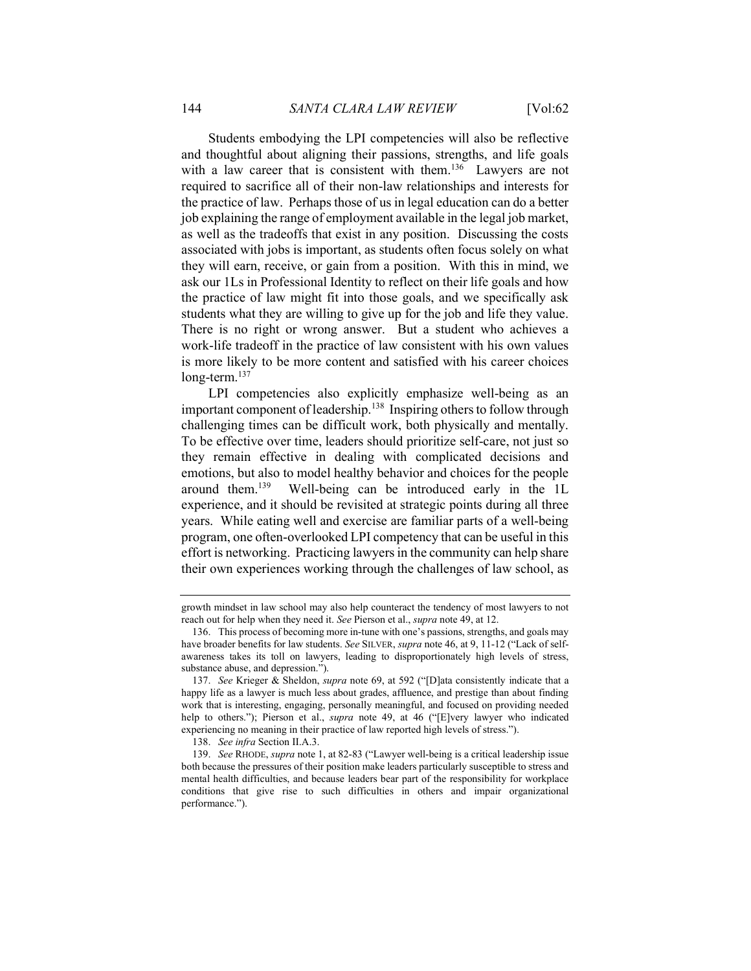Students embodying the LPI competencies will also be reflective and thoughtful about aligning their passions, strengths, and life goals with a law career that is consistent with them.<sup>136</sup> Lawyers are not required to sacrifice all of their non-law relationships and interests for the practice of law. Perhaps those of us in legal education can do a better job explaining the range of employment available in the legal job market, as well as the tradeoffs that exist in any position. Discussing the costs associated with jobs is important, as students often focus solely on what they will earn, receive, or gain from a position. With this in mind, we ask our 1Ls in Professional Identity to reflect on their life goals and how the practice of law might fit into those goals, and we specifically ask students what they are willing to give up for the job and life they value. There is no right or wrong answer. But a student who achieves a work-life tradeoff in the practice of law consistent with his own values is more likely to be more content and satisfied with his career choices long-term.<sup>137</sup>

LPI competencies also explicitly emphasize well-being as an important component of leadership.<sup>138</sup> Inspiring others to follow through challenging times can be difficult work, both physically and mentally. To be effective over time, leaders should prioritize self-care, not just so they remain effective in dealing with complicated decisions and emotions, but also to model healthy behavior and choices for the people around them.<sup>139</sup> Well-being can be introduced early in the 1L experience, and it should be revisited at strategic points during all three years. While eating well and exercise are familiar parts of a well-being program, one often-overlooked LPI competency that can be useful in this effort is networking. Practicing lawyers in the community can help share their own experiences working through the challenges of law school, as

growth mindset in law school may also help counteract the tendency of most lawyers to not reach out for help when they need it. See Pierson et al., supra note 49, at 12.

 <sup>136.</sup> This process of becoming more in-tune with one's passions, strengths, and goals may have broader benefits for law students. See SILVER, supra note 46, at 9, 11-12 ("Lack of selfawareness takes its toll on lawyers, leading to disproportionately high levels of stress, substance abuse, and depression.").

<sup>137.</sup> See Krieger & Sheldon, supra note 69, at 592 ("[D]ata consistently indicate that a happy life as a lawyer is much less about grades, affluence, and prestige than about finding work that is interesting, engaging, personally meaningful, and focused on providing needed help to others."); Pierson et al., *supra* note 49, at 46 ("[E]very lawyer who indicated experiencing no meaning in their practice of law reported high levels of stress.").

<sup>138.</sup> See infra Section II.A.3.

<sup>139.</sup> See RHODE, supra note 1, at 82-83 ("Lawyer well-being is a critical leadership issue both because the pressures of their position make leaders particularly susceptible to stress and mental health difficulties, and because leaders bear part of the responsibility for workplace conditions that give rise to such difficulties in others and impair organizational performance.").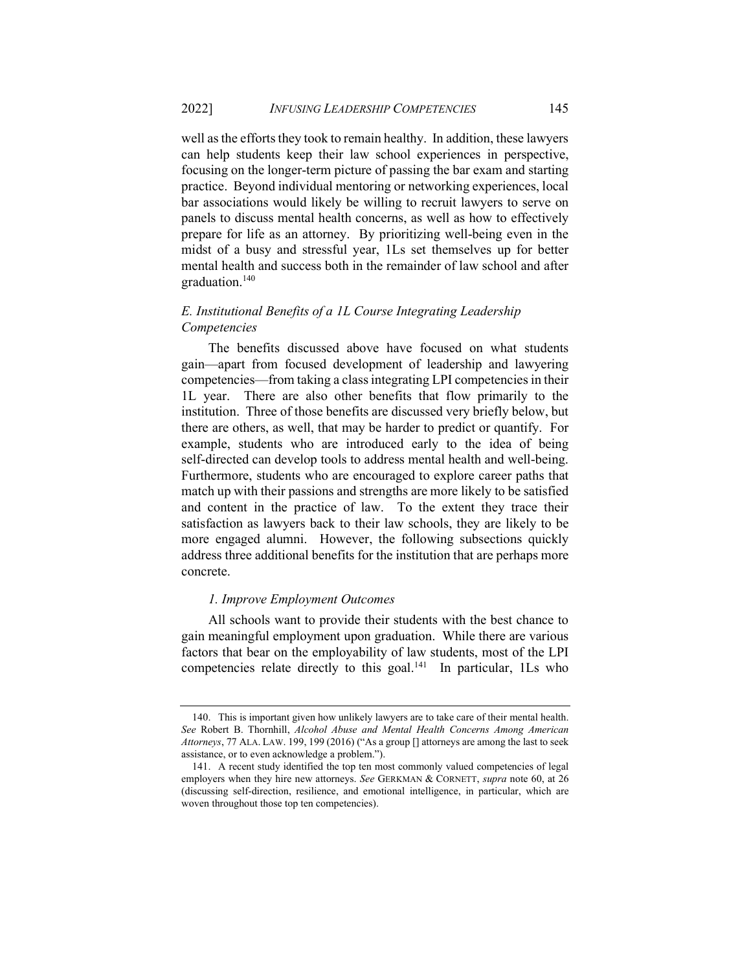well as the efforts they took to remain healthy. In addition, these lawyers can help students keep their law school experiences in perspective, focusing on the longer-term picture of passing the bar exam and starting practice. Beyond individual mentoring or networking experiences, local bar associations would likely be willing to recruit lawyers to serve on panels to discuss mental health concerns, as well as how to effectively prepare for life as an attorney. By prioritizing well-being even in the midst of a busy and stressful year, 1Ls set themselves up for better mental health and success both in the remainder of law school and after graduation.<sup>140</sup>

# E. Institutional Benefits of a 1L Course Integrating Leadership Competencies

The benefits discussed above have focused on what students gain—apart from focused development of leadership and lawyering competencies—from taking a class integrating LPI competencies in their 1L year. There are also other benefits that flow primarily to the institution. Three of those benefits are discussed very briefly below, but there are others, as well, that may be harder to predict or quantify. For example, students who are introduced early to the idea of being self-directed can develop tools to address mental health and well-being. Furthermore, students who are encouraged to explore career paths that match up with their passions and strengths are more likely to be satisfied and content in the practice of law. To the extent they trace their satisfaction as lawyers back to their law schools, they are likely to be more engaged alumni. However, the following subsections quickly address three additional benefits for the institution that are perhaps more concrete.

## 1. Improve Employment Outcomes

All schools want to provide their students with the best chance to gain meaningful employment upon graduation. While there are various factors that bear on the employability of law students, most of the LPI competencies relate directly to this goal.<sup>141</sup> In particular, 1Ls who

 <sup>140.</sup> This is important given how unlikely lawyers are to take care of their mental health. See Robert B. Thornhill, Alcohol Abuse and Mental Health Concerns Among American Attorneys, 77 ALA. LAW. 199, 199 (2016) ("As a group [] attorneys are among the last to seek assistance, or to even acknowledge a problem.").

 <sup>141.</sup> A recent study identified the top ten most commonly valued competencies of legal employers when they hire new attorneys. See GERKMAN & CORNETT, supra note 60, at 26 (discussing self-direction, resilience, and emotional intelligence, in particular, which are woven throughout those top ten competencies).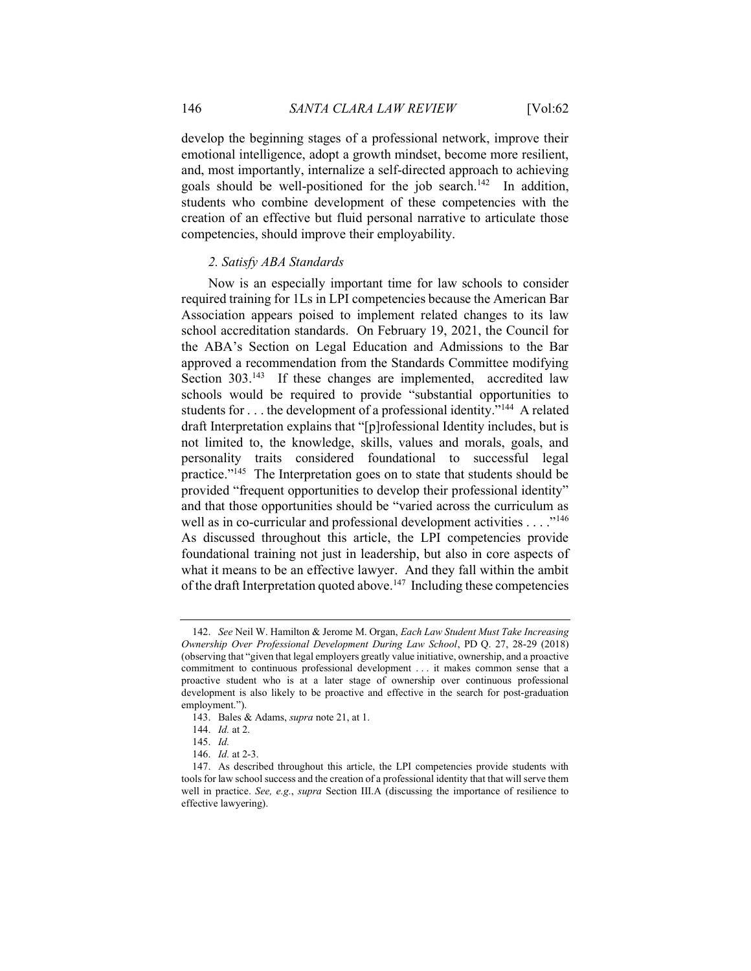develop the beginning stages of a professional network, improve their emotional intelligence, adopt a growth mindset, become more resilient, and, most importantly, internalize a self-directed approach to achieving goals should be well-positioned for the job search.<sup>142</sup> In addition, students who combine development of these competencies with the creation of an effective but fluid personal narrative to articulate those competencies, should improve their employability.

#### 2. Satisfy ABA Standards

Now is an especially important time for law schools to consider required training for 1Ls in LPI competencies because the American Bar Association appears poised to implement related changes to its law school accreditation standards. On February 19, 2021, the Council for the ABA's Section on Legal Education and Admissions to the Bar approved a recommendation from the Standards Committee modifying Section 303.<sup>143</sup> If these changes are implemented, accredited law schools would be required to provide "substantial opportunities to students for . . . the development of a professional identity."<sup>144</sup> A related draft Interpretation explains that "[p]rofessional Identity includes, but is not limited to, the knowledge, skills, values and morals, goals, and personality traits considered foundational to successful legal practice."<sup>145</sup> The Interpretation goes on to state that students should be provided "frequent opportunities to develop their professional identity" and that those opportunities should be "varied across the curriculum as well as in co-curricular and professional development activities . . . . "<sup>146</sup> As discussed throughout this article, the LPI competencies provide foundational training not just in leadership, but also in core aspects of what it means to be an effective lawyer. And they fall within the ambit of the draft Interpretation quoted above.<sup>147</sup> Including these competencies

<sup>142.</sup> See Neil W. Hamilton & Jerome M. Organ, Each Law Student Must Take Increasing Ownership Over Professional Development During Law School, PD Q. 27, 28-29 (2018) (observing that "given that legal employers greatly value initiative, ownership, and a proactive commitment to continuous professional development . . . it makes common sense that a proactive student who is at a later stage of ownership over continuous professional development is also likely to be proactive and effective in the search for post-graduation employment.").

 <sup>143.</sup> Bales & Adams, supra note 21, at 1.

<sup>144.</sup> Id. at 2.

<sup>145.</sup> Id.

<sup>146.</sup> Id. at 2-3.

 <sup>147.</sup> As described throughout this article, the LPI competencies provide students with tools for law school success and the creation of a professional identity that that will serve them well in practice. See, e.g., supra Section III.A (discussing the importance of resilience to effective lawyering).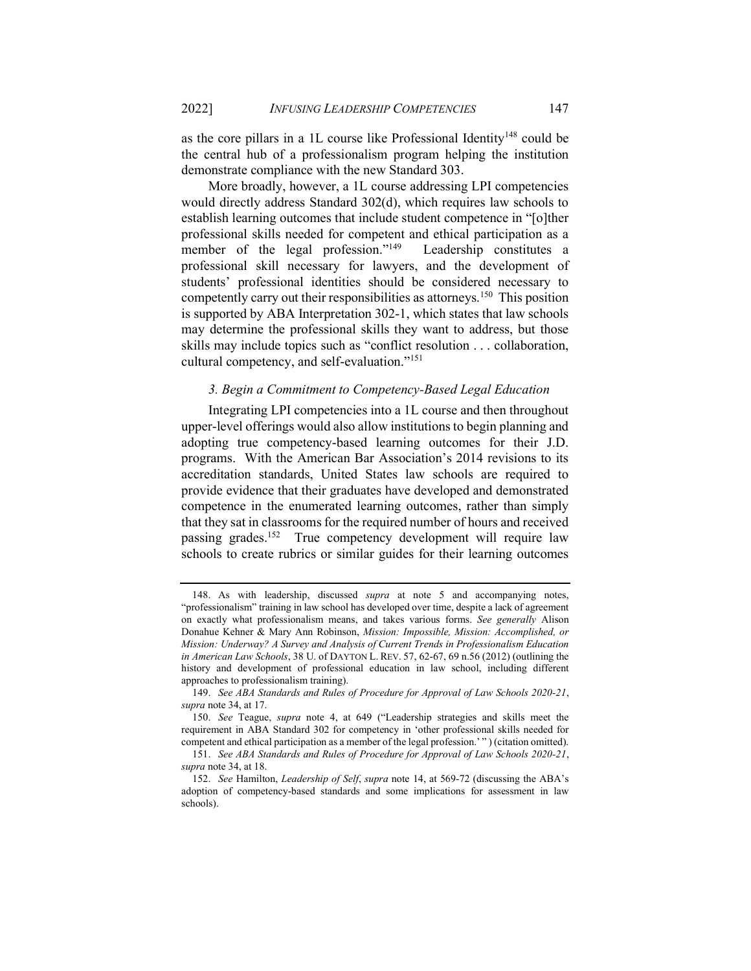as the core pillars in a 1L course like Professional Identity<sup>148</sup> could be the central hub of a professionalism program helping the institution demonstrate compliance with the new Standard 303.

More broadly, however, a 1L course addressing LPI competencies would directly address Standard 302(d), which requires law schools to establish learning outcomes that include student competence in "[o]ther professional skills needed for competent and ethical participation as a member of the legal profession."<sup>149</sup> Leadership constitutes a professional skill necessary for lawyers, and the development of students' professional identities should be considered necessary to competently carry out their responsibilities as attorneys.<sup>150</sup> This position is supported by ABA Interpretation 302-1, which states that law schools may determine the professional skills they want to address, but those skills may include topics such as "conflict resolution . . . collaboration, cultural competency, and self-evaluation."<sup>151</sup>

#### 3. Begin a Commitment to Competency-Based Legal Education

Integrating LPI competencies into a 1L course and then throughout upper-level offerings would also allow institutions to begin planning and adopting true competency-based learning outcomes for their J.D. programs. With the American Bar Association's 2014 revisions to its accreditation standards, United States law schools are required to provide evidence that their graduates have developed and demonstrated competence in the enumerated learning outcomes, rather than simply that they sat in classrooms for the required number of hours and received passing grades.<sup>152</sup> True competency development will require law schools to create rubrics or similar guides for their learning outcomes

 <sup>148.</sup> As with leadership, discussed supra at note 5 and accompanying notes, "professionalism" training in law school has developed over time, despite a lack of agreement on exactly what professionalism means, and takes various forms. See generally Alison Donahue Kehner & Mary Ann Robinson, Mission: Impossible, Mission: Accomplished, or Mission: Underway? A Survey and Analysis of Current Trends in Professionalism Education in American Law Schools, 38 U. of DAYTON L. REV. 57, 62-67, 69 n.56 (2012) (outlining the history and development of professional education in law school, including different approaches to professionalism training).

<sup>149.</sup> See ABA Standards and Rules of Procedure for Approval of Law Schools 2020-21, supra note 34, at 17.

<sup>150.</sup> See Teague, supra note 4, at 649 ("Leadership strategies and skills meet the requirement in ABA Standard 302 for competency in 'other professional skills needed for competent and ethical participation as a member of the legal profession.' " ) (citation omitted).

<sup>151.</sup> See ABA Standards and Rules of Procedure for Approval of Law Schools 2020-21, supra note 34, at 18.

<sup>152.</sup> See Hamilton, Leadership of Self, supra note 14, at 569-72 (discussing the ABA's adoption of competency-based standards and some implications for assessment in law schools).